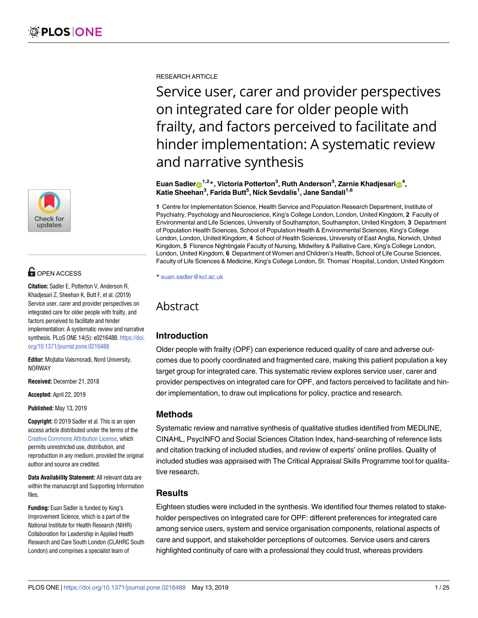

# **OPEN ACCESS**

**Citation:** Sadler E, Potterton V, Anderson R, Khadjesari Z, Sheehan K, Butt F, et al. (2019) Service user, carer and provider perspectives on integrated care for older people with frailty, and factors perceived to facilitate and hinder implementation: A systematic review and narrative synthesis. PLoS ONE 14(5): e0216488. [https://doi.](https://doi.org/10.1371/journal.pone.0216488) [org/10.1371/journal.pone.0216488](https://doi.org/10.1371/journal.pone.0216488)

**Editor:** Mojtaba Vaismoradi, Nord University, NORWAY

**Received:** December 21, 2018

**Accepted:** April 22, 2019

**Published:** May 13, 2019

**Copyright:** © 2019 Sadler et al. This is an open access article distributed under the terms of the Creative Commons [Attribution](http://creativecommons.org/licenses/by/4.0/) License, which permits unrestricted use, distribution, and reproduction in any medium, provided the original author and source are credited.

**Data Availability Statement:** All relevant data are within the manuscript and Supporting Information files.

**Funding:** Euan Sadler is funded by King's Improvement Science, which is a part of the National Institute for Health Research (NIHR) Collaboration for Leadership in Applied Health Research and Care South London (CLAHRC South London) and comprises a specialist team of

RESEARCH ARTICLE

Service user, carer and provider perspectives on integrated care for older people with frailty, and factors perceived to facilitate and hinder implementation: A systematic review and narrative synthesis

### $\frac{1}{2}$  **Euan Sadler** $\frac{1}{2}$ **,**  $\frac{1}{2}$ **,**  $\frac{1}{2}$  **,**  $\frac{1}{2}$  **<b>,**  $\frac{1}{2}$  **,**  $\frac{1}{2}$  **h** and  $\frac{1}{2}$  **h** and  $\frac{1}{2}$  **h** and  $\frac{1}{2}$  **h** and  $\frac{1}{2}$  **h** and  $\frac{1}{2}$  **h** and  $\frac{1}{2}$  **h** and  $\frac{1}{2}$  **h Katie Sheehan3 , Farida Butt5 , Nick Sevdalis1 , Jane Sandall1,6**

**1** Centre for Implementation Science, Health Service and Population Research Department, Institute of Psychiatry, Psychology and Neuroscience, King's College London, London, United Kingdom, **2** Faculty of Environmental and Life Sciences, University of Southampton, Southampton, United Kingdom, **3** Department of Population Health Sciences, School of Population Health & Environmental Sciences, King's College London, London, United Kingdom, **4** School of Health Sciences, University of East Anglia, Norwich, United Kingdom, **5** Florence Nightingale Faculty of Nursing, Midwifery & Palliative Care, King's College London, London, United Kingdom, **6** Department of Women and Children's Health, School of Life Course Sciences, Faculty of Life Sciences & Medicine, King's College London, St. Thomas' Hospital, London, United Kingdom

\* euan.sadler@kcl.ac.uk

# Abstract

# **Introduction**

Older people with frailty (OPF) can experience reduced quality of care and adverse outcomes due to poorly coordinated and fragmented care, making this patient population a key target group for integrated care. This systematic review explores service user, carer and provider perspectives on integrated care for OPF, and factors perceived to facilitate and hinder implementation, to draw out implications for policy, practice and research.

# **Methods**

Systematic review and narrative synthesis of qualitative studies identified from MEDLINE, CINAHL, PsycINFO and Social Sciences Citation Index, hand-searching of reference lists and citation tracking of included studies, and review of experts' online profiles. Quality of included studies was appraised with The Critical Appraisal Skills Programme tool for qualitative research.

# **Results**

Eighteen studies were included in the synthesis. We identified four themes related to stakeholder perspectives on integrated care for OPF: different preferences for integrated care among service users, system and service organisation components, relational aspects of care and support, and stakeholder perceptions of outcomes. Service users and carers highlighted continuity of care with a professional they could trust, whereas providers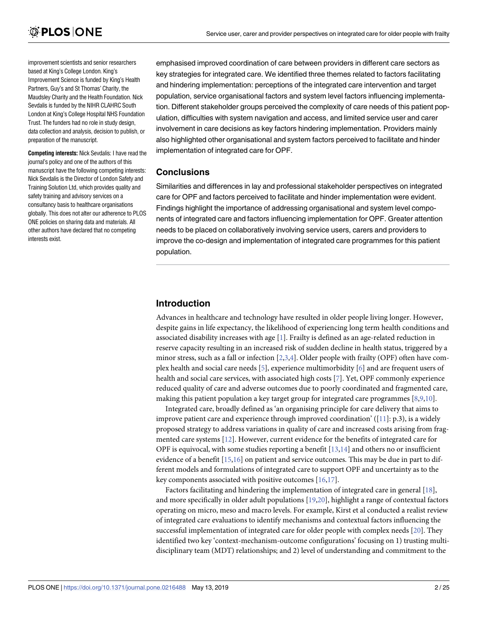<span id="page-1-0"></span>improvement scientists and senior researchers based at King's College London. King's Improvement Science is funded by King's Health Partners, Guy's and St Thomas' Charity, the Maudsley Charity and the Health Foundation. Nick Sevdalis is funded by the NIHR CLAHRC South London at King's College Hospital NHS Foundation Trust. The funders had no role in study design, data collection and analysis, decision to publish, or preparation of the manuscript.

**Competing interests:** Nick Sevdalis: I have read the journal's policy and one of the authors of this manuscript have the following competing interests: Nick Sevdalis is the Director of London Safety and Training Solution Ltd, which provides quality and safety training and advisory services on a consultancy basis to healthcare organisations globally. This does not alter our adherence to PLOS ONE policies on sharing data and materials. All other authors have declared that no competing interests exist.

emphasised improved coordination of care between providers in different care sectors as key strategies for integrated care. We identified three themes related to factors facilitating and hindering implementation: perceptions of the integrated care intervention and target population, service organisational factors and system level factors influencing implementation. Different stakeholder groups perceived the complexity of care needs of this patient population, difficulties with system navigation and access, and limited service user and carer involvement in care decisions as key factors hindering implementation. Providers mainly also highlighted other organisational and system factors perceived to facilitate and hinder implementation of integrated care for OPF.

# **Conclusions**

Similarities and differences in lay and professional stakeholder perspectives on integrated care for OPF and factors perceived to facilitate and hinder implementation were evident. Findings highlight the importance of addressing organisational and system level components of integrated care and factors influencing implementation for OPF. Greater attention needs to be placed on collaboratively involving service users, carers and providers to improve the co-design and implementation of integrated care programmes for this patient population.

# **Introduction**

Advances in healthcare and technology have resulted in older people living longer. However, despite gains in life expectancy, the likelihood of experiencing long term health conditions and associated disability increases with age [\[1\]](#page-21-0). Frailty is defined as an age-related reduction in reserve capacity resulting in an increased risk of sudden decline in health status, triggered by a minor stress, such as a fall or infection [[2,3](#page-21-0),[4](#page-21-0)]. Older people with frailty (OPF) often have complex health and social care needs [[5](#page-21-0)], experience multimorbidity [[6](#page-21-0)] and are frequent users of health and social care services, with associated high costs [\[7](#page-21-0)]. Yet, OPF commonly experience reduced quality of care and adverse outcomes due to poorly coordinated and fragmented care, making this patient population a key target group for integrated care programmes [[8,9,10](#page-21-0)].

Integrated care, broadly defined as 'an organising principle for care delivery that aims to improve patient care and experience through improved coordination'  $([11]: p.3)$  $([11]: p.3)$  $([11]: p.3)$ , is a widely proposed strategy to address variations in quality of care and increased costs arising from fragmented care systems [[12](#page-21-0)]. However, current evidence for the benefits of integrated care for OPF is equivocal, with some studies reporting a benefit  $[13,14]$  $[13,14]$  and others no or insufficient evidence of a benefit  $[15,16]$  $[15,16]$  $[15,16]$  on patient and service outcomes. This may be due in part to different models and formulations of integrated care to support OPF and uncertainty as to the key components associated with positive outcomes [[16,17\]](#page-22-0).

Factors facilitating and hindering the implementation of integrated care in general [[18](#page-22-0)], and more specifically in older adult populations [\[19,20](#page-22-0)], highlight a range of contextual factors operating on micro, meso and macro levels. For example, Kirst et al conducted a realist review of integrated care evaluations to identify mechanisms and contextual factors influencing the successful implementation of integrated care for older people with complex needs [[20](#page-22-0)]. They identified two key 'context-mechanism-outcome configurations' focusing on 1) trusting multidisciplinary team (MDT) relationships; and 2) level of understanding and commitment to the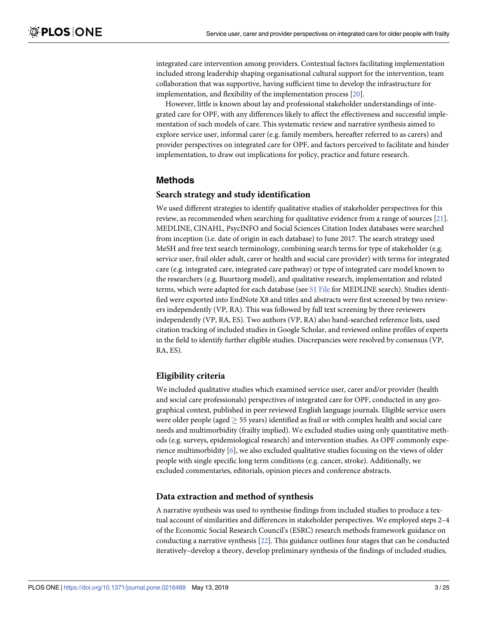<span id="page-2-0"></span>integrated care intervention among providers. Contextual factors facilitating implementation included strong leadership shaping organisational cultural support for the intervention, team collaboration that was supportive, having sufficient time to develop the infrastructure for implementation, and flexibility of the implementation process [[20](#page-22-0)].

However, little is known about lay and professional stakeholder understandings of integrated care for OPF, with any differences likely to affect the effectiveness and successful implementation of such models of care. This systematic review and narrative synthesis aimed to explore service user, informal carer (e.g. family members, hereafter referred to as carers) and provider perspectives on integrated care for OPF, and factors perceived to facilitate and hinder implementation, to draw out implications for policy, practice and future research.

# **Methods**

### **Search strategy and study identification**

We used different strategies to identify qualitative studies of stakeholder perspectives for this review, as recommended when searching for qualitative evidence from a range of sources [\[21\]](#page-22-0). MEDLINE, CINAHL, PsycINFO and Social Sciences Citation Index databases were searched from inception (i.e. date of origin in each database) to June 2017. The search strategy used MeSH and free text search terminology, combining search terms for type of stakeholder (e.g. service user, frail older adult, carer or health and social care provider) with terms for integrated care (e.g. integrated care, integrated care pathway) or type of integrated care model known to the researchers (e.g. Buurtzorg model), and qualitative research, implementation and related terms, which were adapted for each database (see S1 [File](#page-20-0) for MEDLINE search). Studies identified were exported into EndNote X8 and titles and abstracts were first screened by two reviewers independently (VP, RA). This was followed by full text screening by three reviewers independently (VP, RA, ES). Two authors (VP, RA) also hand-searched reference lists, used citation tracking of included studies in Google Scholar, and reviewed online profiles of experts in the field to identify further eligible studies. Discrepancies were resolved by consensus (VP, RA, ES).

# **Eligibility criteria**

We included qualitative studies which examined service user, carer and/or provider (health and social care professionals) perspectives of integrated care for OPF, conducted in any geographical context, published in peer reviewed English language journals. Eligible service users were older people (aged  $> 55$  years) identified as frail or with complex health and social care needs and multimorbidity (frailty implied). We excluded studies using only quantitative methods (e.g. surveys, epidemiological research) and intervention studies. As OPF commonly experience multimorbidity [\[6\]](#page-21-0), we also excluded qualitative studies focusing on the views of older people with single specific long term conditions (e.g. cancer, stroke). Additionally, we excluded commentaries, editorials, opinion pieces and conference abstracts.

### **Data extraction and method of synthesis**

A narrative synthesis was used to synthesise findings from included studies to produce a textual account of similarities and differences in stakeholder perspectives. We employed steps 2–4 of the Economic Social Research Council's (ESRC) research methods framework guidance on conducting a narrative synthesis [\[22\]](#page-22-0). This guidance outlines four stages that can be conducted iteratively–develop a theory, develop preliminary synthesis of the findings of included studies,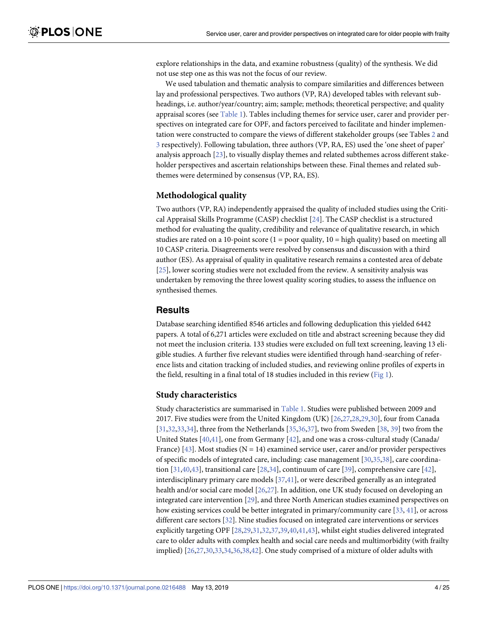<span id="page-3-0"></span>explore relationships in the data, and examine robustness (quality) of the synthesis. We did not use step one as this was not the focus of our review.

We used tabulation and thematic analysis to compare similarities and differences between lay and professional perspectives. Two authors (VP, RA) developed tables with relevant subheadings, i.e. author/year/country; aim; sample; methods; theoretical perspective; and quality appraisal scores (see [Table](#page-4-0) 1). Tables including themes for service user, carer and provider perspectives on integrated care for OPF, and factors perceived to facilitate and hinder implementation were constructed to compare the views of different stakeholder groups (see Tables [2](#page-5-0) and [3](#page-6-0) respectively). Following tabulation, three authors (VP, RA, ES) used the 'one sheet of paper' analysis approach [\[23\]](#page-22-0), to visually display themes and related subthemes across different stakeholder perspectives and ascertain relationships between these. Final themes and related subthemes were determined by consensus (VP, RA, ES).

### **Methodological quality**

Two authors (VP, RA) independently appraised the quality of included studies using the Critical Appraisal Skills Programme (CASP) checklist [[24](#page-22-0)]. The CASP checklist is a structured method for evaluating the quality, credibility and relevance of qualitative research, in which studies are rated on a 10-point score  $(1 = poor$  quality,  $10 = high$  quality) based on meeting all 10 CASP criteria. Disagreements were resolved by consensus and discussion with a third author (ES). As appraisal of quality in qualitative research remains a contested area of debate [\[25\]](#page-22-0), lower scoring studies were not excluded from the review. A sensitivity analysis was undertaken by removing the three lowest quality scoring studies, to assess the influence on synthesised themes.

### **Results**

Database searching identified 8546 articles and following deduplication this yielded 6442 papers. A total of 6,271 articles were excluded on title and abstract screening because they did not meet the inclusion criteria. 133 studies were excluded on full text screening, leaving 13 eligible studies. A further five relevant studies were identified through hand-searching of reference lists and citation tracking of included studies, and reviewing online profiles of experts in the field, resulting in a final total of 18 studies included in this review ([Fig](#page-7-0) 1).

### **Study characteristics**

Study characteristics are summarised in [Table](#page-4-0) 1. Studies were published between 2009 and 2017. Five studies were from the United Kingdom (UK) [\[26,27,28](#page-22-0),[29,30\]](#page-22-0), four from Canada [\[31,32,33](#page-22-0),[34](#page-22-0)], three from the Netherlands [\[35,36](#page-23-0),[37](#page-23-0)], two from Sweden [[38](#page-23-0), [39\]](#page-23-0) two from the United States [[40,41\]](#page-23-0), one from Germany [\[42\]](#page-23-0), and one was a cross-cultural study (Canada/ France) [\[43\]](#page-23-0). Most studies ( $N = 14$ ) examined service user, carer and/or provider perspectives of specific models of integrated care, including: case management [\[30,](#page-22-0)[35](#page-23-0),[38](#page-23-0)], care coordination [[31](#page-22-0),[40,43\]](#page-23-0), transitional care [[28](#page-22-0),[34](#page-22-0)], continuum of care [\[39\]](#page-23-0), comprehensive care [[42\]](#page-23-0), interdisciplinary primary care models [[37](#page-23-0),[41](#page-23-0)], or were described generally as an integrated health and/or social care model [\[26,27\]](#page-22-0). In addition, one UK study focused on developing an integrated care intervention [[29](#page-22-0)], and three North American studies examined perspectives on how existing services could be better integrated in primary/community care [[33](#page-22-0), [41](#page-23-0)], or across different care sectors [\[32\]](#page-22-0). Nine studies focused on integrated care interventions or services explicitly targeting OPF [\[28,29](#page-22-0),[31,32](#page-22-0)[,37,39,40](#page-23-0),[41,43\]](#page-23-0), whilst eight studies delivered integrated care to older adults with complex health and social care needs and multimorbidity (with frailty implied) [[26,27,30,33](#page-22-0),[34](#page-22-0),[36,38,42\]](#page-23-0). One study comprised of a mixture of older adults with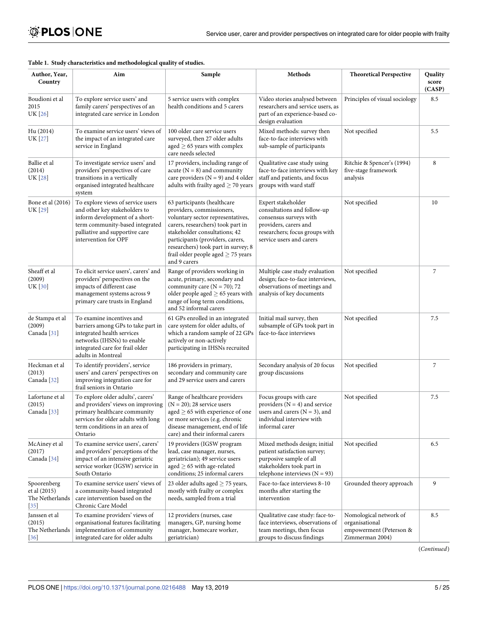| Author, Year,<br>Country                                            | Aim                                                                                                                                                                                               | Sample                                                                                                                                                                                                                                                                                                    | Methods                                                                                                                                                            | <b>Theoretical Perspective</b>                                                         | Quality<br>score<br>(CASP) |
|---------------------------------------------------------------------|---------------------------------------------------------------------------------------------------------------------------------------------------------------------------------------------------|-----------------------------------------------------------------------------------------------------------------------------------------------------------------------------------------------------------------------------------------------------------------------------------------------------------|--------------------------------------------------------------------------------------------------------------------------------------------------------------------|----------------------------------------------------------------------------------------|----------------------------|
| Boudioni et al<br>2015<br>UK [26]                                   | To explore service users' and<br>family carers' perspectives of an<br>integrated care service in London                                                                                           | 5 service users with complex<br>health conditions and 5 carers                                                                                                                                                                                                                                            | Video stories analysed between<br>researchers and service users, as<br>part of an experience-based co-<br>design evaluation                                        | Principles of visual sociology                                                         | 8.5                        |
| Hu (2014)<br>UK [27]                                                | To examine service users' views of<br>the impact of an integrated care<br>service in England                                                                                                      | 100 older care service users<br>surveyed, then 27 older adults<br>aged $\geq$ 65 years with complex<br>care needs selected                                                                                                                                                                                | Mixed methods: survey then<br>face-to-face interviews with<br>sub-sample of participants                                                                           | Not specified                                                                          | 5.5                        |
| Ballie et al<br>(2014)<br>UK [28]                                   | To investigate service users' and<br>providers' perspectives of care<br>transitions in a vertically<br>organised integrated healthcare<br>system                                                  | 17 providers, including range of<br>acute ( $N = 8$ ) and community<br>care providers ( $N = 9$ ) and 4 older<br>adults with frailty aged $\geq$ 70 years                                                                                                                                                 | Qualitative case study using<br>face-to-face interviews with key<br>staff and patients, and focus<br>groups with ward staff                                        | Ritchie & Spencer's (1994)<br>five-stage framework<br>analysis                         | 8                          |
| Bone et al (2016)<br><b>UK</b> [29]                                 | To explore views of service users<br>and other key stakeholders to<br>inform development of a short-<br>term community-based integrated<br>palliative and supportive care<br>intervention for OPF | 63 participants (healthcare<br>providers, commissioners,<br>voluntary sector representatives,<br>carers, researchers) took part in<br>stakeholder consultations; 42<br>participants (providers, carers,<br>researchers) took part in survey; 8<br>frail older people aged $\geq$ 75 years<br>and 9 carers | Expert stakeholder<br>consultations and follow-up<br>consensus surveys with<br>providers, carers and<br>researchers; focus groups with<br>service users and carers | Not specified                                                                          | 10                         |
| Sheaff et al<br>(2009)<br>UK [30]                                   | To elicit service users', carers' and<br>providers' perspectives on the<br>impacts of different case<br>management systems across 9<br>primary care trusts in England                             | Range of providers working in<br>acute, primary, secondary and<br>community care ( $N = 70$ ); 72<br>older people aged $\geq$ 65 years with<br>range of long term conditions,<br>and 52 informal carers                                                                                                   | Multiple case study evaluation<br>design; face-to-face interviews,<br>observations of meetings and<br>analysis of key documents                                    | Not specified                                                                          | 7                          |
| de Stampa et al<br>(2009)<br>Canada <sup>[31]</sup>                 | To examine incentives and<br>barriers among GPs to take part in<br>integrated health services<br>networks (IHSNs) to enable<br>integrated care for frail older<br>adults in Montreal              | 61 GPs enrolled in an integrated<br>care system for older adults, of<br>which a random sample of 22 GPs<br>actively or non-actively<br>participating in IHSNs recruited                                                                                                                                   | Initial mail survey, then<br>subsample of GPs took part in<br>face-to-face interviews                                                                              | Not specified                                                                          | 7.5                        |
| Heckman et al<br>(2013)<br>Canada <sup>[32]</sup>                   | To identify providers', service<br>users' and carers' perspectives on<br>improving integration care for<br>frail seniors in Ontario                                                               | 186 providers in primary,<br>secondary and community care<br>and 29 service users and carers                                                                                                                                                                                                              | Secondary analysis of 20 focus<br>group discussions                                                                                                                | Not specified                                                                          | 7                          |
| Lafortune et al<br>(2015)<br>Canada <sup>[33]</sup>                 | To explore older adults', carers'<br>and providers' views on improving<br>primary healthcare community<br>services for older adults with long<br>term conditions in an area of<br>Ontario         | Range of healthcare providers<br>$(N = 20)$ ; 28 service users<br>$\mathrm{aged} \geq 65$ with experience of one<br>or more services (e.g. chronic<br>disease management, end of life<br>care) and their informal carers                                                                                  | Focus groups with care<br>providers $(N = 4)$ and service<br>users and carers ( $N = 3$ ), and<br>individual interview with<br>informal carer                      | Not specified                                                                          | 7.5                        |
| McAiney et al<br>(2017)<br>Canada <sup>[34]</sup>                   | To examine service users', carers'<br>and providers' perceptions of the<br>impact of an intensive geriatric<br>service worker (IGSW) service in<br>South Ontario                                  | 19 providers (IGSW program<br>lead, case manager, nurses,<br>geriatrician); 49 service users<br>aged $\geq$ 65 with age-related<br>conditions; 25 informal carers                                                                                                                                         | Mixed methods design; initial<br>patient satisfaction survey;<br>purposive sample of all<br>stakeholders took part in<br>telephone interviews ( $N = 93$ )         | Not specified                                                                          | 6.5                        |
| Spoorenberg<br>et al (2015)<br>The Netherlands<br>$\left[35\right]$ | To examine service users' views of<br>a community-based integrated<br>care intervention based on the<br>Chronic Care Model                                                                        | 23 older adults aged $\geq$ 75 years,<br>mostly with frailty or complex<br>needs, sampled from a trial                                                                                                                                                                                                    | Face-to-face interviews 8-10<br>months after starting the<br>intervention                                                                                          | Grounded theory approach                                                               | 9                          |
| Janssen et al<br>(2015)<br>The Netherlands<br>$[36]$                | To examine providers' views of<br>organisational features facilitating<br>implementation of community<br>integrated care for older adults                                                         | 12 providers (nurses, case<br>managers, GP, nursing home<br>manager, homecare worker,<br>geriatrician)                                                                                                                                                                                                    | Qualitative case study: face-to-<br>face interviews, observations of<br>team meetings, then focus<br>groups to discuss findings                                    | Nomological network of<br>organisational<br>empowerment (Peterson &<br>Zimmerman 2004) | 8.5                        |

### <span id="page-4-0"></span>**[Table](#page-3-0) 1. Study characteristics and methodological quality of studies.**

(*Continued*)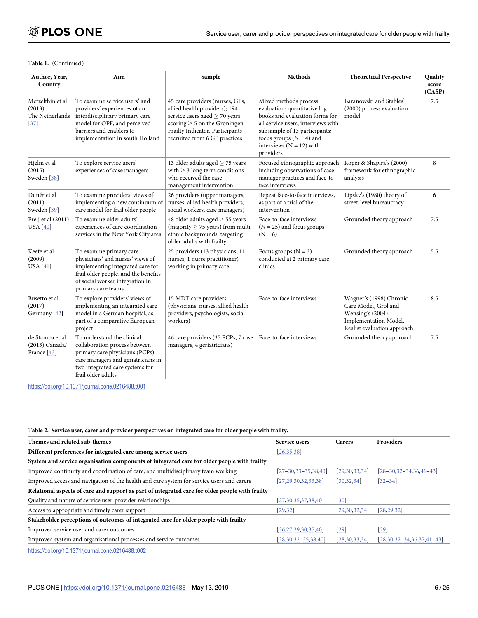# <span id="page-5-0"></span>**OPLOS ONE**

#### **Table 1.** (Continued)

| Author, Year,<br>Country                                           | Aim                                                                                                                                                                                              | Sample                                                                                                                                                                                                       | <b>Methods</b>                                                                                                                                                                                                                            | <b>Theoretical Perspective</b>                                                                                              | <b>Quality</b><br>score<br>(CASP) |
|--------------------------------------------------------------------|--------------------------------------------------------------------------------------------------------------------------------------------------------------------------------------------------|--------------------------------------------------------------------------------------------------------------------------------------------------------------------------------------------------------------|-------------------------------------------------------------------------------------------------------------------------------------------------------------------------------------------------------------------------------------------|-----------------------------------------------------------------------------------------------------------------------------|-----------------------------------|
| Metzelthin et al<br>(2013)<br>The Netherlands<br>$\left[37\right]$ | To examine service users' and<br>providers' experiences of an<br>interdisciplinary primary care<br>model for OPF, and perceived<br>barriers and enablers to<br>implementation in south Holland   | 45 care providers (nurses, GPs,<br>allied health providers); 194<br>service users aged $>$ 70 years<br>scoring $\geq$ 5 on the Groningen<br>Frailty Indicator. Participants<br>recruited from 6 GP practices | Mixed methods process<br>evaluation: quantitative log<br>books and evaluation forms for<br>all service users; interviews with<br>subsample of 13 participants;<br>focus groups $(N = 4)$ and<br>interviews ( $N = 12$ ) with<br>providers | Baranowski and Stables'<br>(2000) process evaluation<br>model                                                               | 7.5                               |
| Hjelm et al<br>(2015)<br>Sweden <sup>[38]</sup>                    | To explore service users'<br>experiences of case managers                                                                                                                                        | 13 older adults aged $\geq$ 75 years<br>with $\geq$ 3 long term conditions<br>who received the case<br>management intervention                                                                               | Focused ethnographic approach<br>including observations of case<br>manager practices and face-to-<br>face interviews                                                                                                                      | Roper & Shapira's (2000)<br>framework for ethnographic<br>analysis                                                          | 8                                 |
| Dunér et al<br>(2011)<br>Sweden <sup>[39]</sup>                    | To examine providers' views of<br>implementing a new continuum of<br>care model for frail older people                                                                                           | 26 providers (upper managers,<br>nurses, allied health providers,<br>social workers, case managers)                                                                                                          | Repeat face-to-face interviews,<br>as part of a trial of the<br>intervention                                                                                                                                                              | Lipsky's (1980) theory of<br>street-level bureaucracy                                                                       | 6                                 |
| Freij et al (2011)<br><b>USA</b> [40]                              | To examine older adults'<br>experiences of care coordination<br>services in the New York City area                                                                                               | 48 older adults aged $\geq$ 55 years<br>(majority $\geq$ 75 years) from multi-<br>ethnic backgrounds, targeting<br>older adults with frailty                                                                 | Face-to-face interviews<br>$(N = 25)$ and focus groups<br>$(N = 6)$                                                                                                                                                                       | Grounded theory approach                                                                                                    | 7.5                               |
| Keefe et al<br>(2009)<br><b>USA</b> [41]                           | To examine primary care<br>physicians' and nurses' views of<br>implementing integrated care for<br>frail older people, and the benefits<br>of social worker integration in<br>primary care teams | 25 providers (13 physicians, 11<br>nurses, 1 nurse practitioner)<br>working in primary care                                                                                                                  | Focus groups $(N = 3)$<br>conducted at 2 primary care<br>clinics                                                                                                                                                                          | Grounded theory approach                                                                                                    | 5.5                               |
| Busetto et al<br>(2017)<br>Germany [42]                            | To explore providers' views of<br>implementing an integrated care<br>model in a German hospital, as<br>part of a comparative European<br>project                                                 | 15 MDT care providers<br>(physicians, nurses, allied health<br>providers, psychologists, social<br>workers)                                                                                                  | Face-to-face interviews                                                                                                                                                                                                                   | Wagner's (1998) Chronic<br>Care Model, Grol and<br>Wensing's (2004)<br>Implementation Model,<br>Realist evaluation approach | 8.5                               |
| de Stampa et al<br>(2013) Canada/<br>France [43]                   | To understand the clinical<br>collaboration process between<br>primary care physicians (PCPs),<br>case managers and geriatricians in<br>two integrated care systems for<br>frail older adults    | 46 care providers (35 PCPs, 7 case<br>managers, 4 geriatricians)                                                                                                                                             | Face-to-face interviews                                                                                                                                                                                                                   | Grounded theory approach                                                                                                    | 7.5                               |

<https://doi.org/10.1371/journal.pone.0216488.t001>

#### **[Table](#page-3-0) 2. Service user, carer and provider perspectives on integrated care for older people with frailty.**

| Themes and related sub-themes                                                                   | Service users            | Carers            | <b>Providers</b>                     |
|-------------------------------------------------------------------------------------------------|--------------------------|-------------------|--------------------------------------|
| Different preferences for integrated care among service users                                   | [26, 35, 38]             |                   |                                      |
| System and service organisation components of integrated care for older people with frailty     |                          |                   |                                      |
| Improved continuity and coordination of care, and multidisciplinary team working                | $[27-30, 33-35, 38, 40]$ | [29,30,33,34]     | $[28 - 30, 32 - 34, 36, 41 - 43]$    |
| Improved access and navigation of the health and care system for service users and carers       | [27, 29, 30, 32, 33, 38] | [30, 32, 34]      | $[32 - 34]$                          |
| Relational aspects of care and support as part of integrated care for older people with frailty |                          |                   |                                      |
| Quality and nature of service user-provider relationships                                       | [27,30,35,37,38,40]      | $\left[30\right]$ |                                      |
| Access to appropriate and timely carer support                                                  | [29, 32]                 | [29,30,32,34]     | [28, 29, 32]                         |
| Stakeholder perceptions of outcomes of integrated care for older people with frailty            |                          |                   |                                      |
| Improved service user and carer outcomes                                                        | [26, 27, 29, 30, 35, 40] | $\left[29\right]$ | $\sqrt{29}$                          |
| Improved system and organisational processes and service outcomes                               | $[28,30,32-35,38,40]$    | [28, 30, 33, 34]  | $[28, 30, 32 - 34, 36, 37, 41 - 43]$ |
|                                                                                                 |                          |                   |                                      |

<https://doi.org/10.1371/journal.pone.0216488.t002>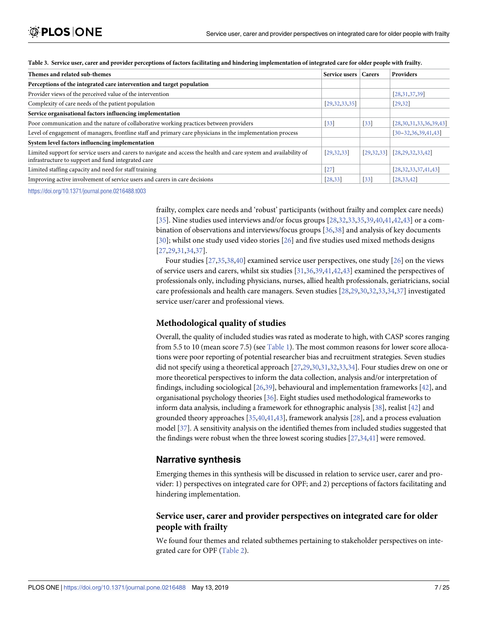| Themes and related sub-themes                                                                                                                                            | Service users   Carers |                   | <b>Providers</b>             |
|--------------------------------------------------------------------------------------------------------------------------------------------------------------------------|------------------------|-------------------|------------------------------|
| Perceptions of the integrated care intervention and target population                                                                                                    |                        |                   |                              |
| Provider views of the perceived value of the intervention                                                                                                                |                        |                   | [28, 31, 37, 39]             |
| Complexity of care needs of the patient population                                                                                                                       | [29, 32, 33, 35]       |                   | [29, 32]                     |
| Service organisational factors influencing implementation                                                                                                                |                        |                   |                              |
| Poor communication and the nature of collaborative working practices between providers                                                                                   | 33                     | $[33]$            | [28, 30, 31, 33, 36, 39, 43] |
| Level of engagement of managers, frontline staff and primary care physicians in the implementation process                                                               |                        |                   | $[30 - 32, 36, 39, 41, 43]$  |
| System level factors influencing implementation                                                                                                                          |                        |                   |                              |
| Limited support for service users and carers to navigate and access the health and care system and availability of<br>infrastructure to support and fund integrated care | [29, 32, 33]           | [29, 32, 33]      | [28, 29, 32, 33, 42]         |
| Limited staffing capacity and need for staff training                                                                                                                    | [27]                   |                   | [28, 32, 33, 37, 41, 43]     |
| Improving active involvement of service users and carers in care decisions                                                                                               | [28, 33]               | $\left 33\right $ | [28, 33, 42]                 |

<span id="page-6-0"></span>

| Table 3. Service user, carer and provider perceptions of factors facilitating and hindering implementation of integrated care for older people with frailty. |  |  |  |  |  |  |  |
|--------------------------------------------------------------------------------------------------------------------------------------------------------------|--|--|--|--|--|--|--|
|--------------------------------------------------------------------------------------------------------------------------------------------------------------|--|--|--|--|--|--|--|

<https://doi.org/10.1371/journal.pone.0216488.t003>

frailty, complex care needs and 'robust' participants (without frailty and complex care needs) [\[35\]](#page-23-0). Nine studies used interviews and/or focus groups [\[28,32](#page-22-0),[33](#page-22-0)[,35,39,40](#page-23-0),[41](#page-23-0),[42,43\]](#page-23-0) or a combination of observations and interviews/focus groups [[36,38\]](#page-23-0) and analysis of key documents [\[30\]](#page-22-0); whilst one study used video stories [[26](#page-22-0)] and five studies used mixed methods designs [\[27,29,31](#page-22-0),[34](#page-22-0)[,37\]](#page-23-0).

Four studies [[27](#page-22-0),[35,38,40\]](#page-23-0) examined service user perspectives, one study [\[26\]](#page-22-0) on the views of service users and carers, whilst six studies [\[31,](#page-22-0)[36,39](#page-23-0),[41,42,43\]](#page-23-0) examined the perspectives of professionals only, including physicians, nurses, allied health professionals, geriatricians, social care professionals and health care managers. Seven studies [\[28,29,30](#page-22-0),[32,33,34,](#page-22-0)[37](#page-23-0)] investigated service user/carer and professional views.

# **Methodological quality of studies**

Overall, the quality of included studies was rated as moderate to high, with CASP scores ranging from 5.5 to 10 (mean score 7.5) (see [Table](#page-4-0) 1). The most common reasons for lower score allocations were poor reporting of potential researcher bias and recruitment strategies. Seven studies did not specify using a theoretical approach [\[27,29,30,31,32,33](#page-22-0),[34\]](#page-22-0). Four studies drew on one or more theoretical perspectives to inform the data collection, analysis and/or interpretation of findings, including sociological [[26](#page-22-0)[,39\]](#page-23-0), behavioural and implementation frameworks [\[42\]](#page-23-0), and organisational psychology theories [\[36\]](#page-23-0). Eight studies used methodological frameworks to inform data analysis, including a framework for ethnographic analysis  $[38]$  $[38]$ , realist  $[42]$  and grounded theory approaches [[35,40](#page-23-0),[41,43\]](#page-23-0), framework analysis [\[28](#page-22-0)], and a process evaluation model [\[37\]](#page-23-0). A sensitivity analysis on the identified themes from included studies suggested that the findings were robust when the three lowest scoring studies [\[27,34](#page-22-0)[,41\]](#page-23-0) were removed.

# **Narrative synthesis**

Emerging themes in this synthesis will be discussed in relation to service user, carer and provider: 1) perspectives on integrated care for OPF; and 2) perceptions of factors facilitating and hindering implementation.

# **Service user, carer and provider perspectives on integrated care for older people with frailty**

We found four themes and related subthemes pertaining to stakeholder perspectives on integrated care for OPF ([Table](#page-5-0) 2).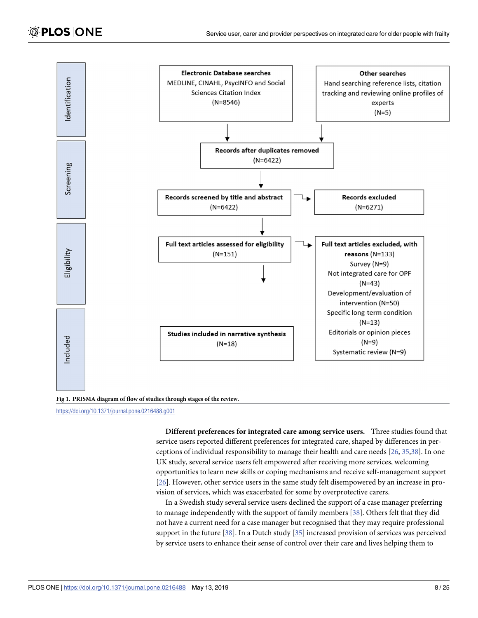<span id="page-7-0"></span>

**[Fig](#page-3-0) 1. PRISMA diagram of flow of studies through stages of the review.**

<https://doi.org/10.1371/journal.pone.0216488.g001>

**Different preferences for integrated care among service users.** Three studies found that service users reported different preferences for integrated care, shaped by differences in perceptions of individual responsibility to manage their health and care needs [[26](#page-22-0), [35](#page-23-0),[38](#page-23-0)]. In one UK study, several service users felt empowered after receiving more services, welcoming opportunities to learn new skills or coping mechanisms and receive self-management support [\[26\]](#page-22-0). However, other service users in the same study felt disempowered by an increase in provision of services, which was exacerbated for some by overprotective carers.

In a Swedish study several service users declined the support of a case manager preferring to manage independently with the support of family members [[38](#page-23-0)]. Others felt that they did not have a current need for a case manager but recognised that they may require professional support in the future [\[38\]](#page-23-0). In a Dutch study [[35](#page-23-0)] increased provision of services was perceived by service users to enhance their sense of control over their care and lives helping them to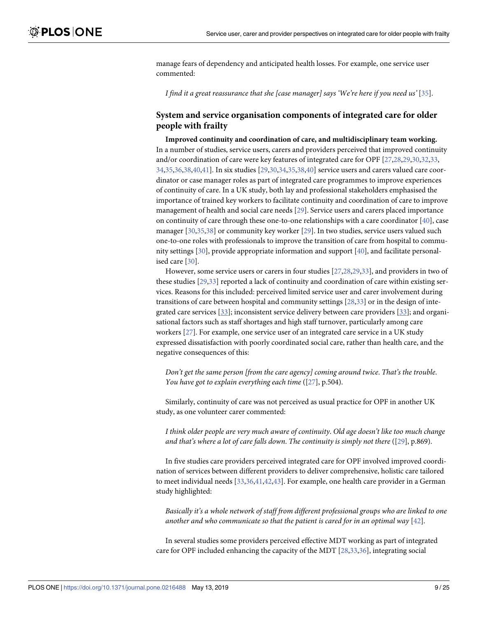manage fears of dependency and anticipated health losses. For example, one service user commented:

*I find it a great reassurance that she [case manager] says 'We're here if you need us'* [[35](#page-23-0)].

# **System and service organisation components of integrated care for older people with frailty**

**Improved continuity and coordination of care, and multidisciplinary team working.** In a number of studies, service users, carers and providers perceived that improved continuity and/or coordination of care were key features of integrated care for OPF [[27,28,29,30](#page-22-0),[32,33,](#page-22-0) [34,](#page-22-0)[35](#page-23-0),[36,38,40,41](#page-23-0)]. In six studies [[29,30,34,](#page-22-0)[35](#page-23-0),[38,40\]](#page-23-0) service users and carers valued care coordinator or case manager roles as part of integrated care programmes to improve experiences of continuity of care. In a UK study, both lay and professional stakeholders emphasised the importance of trained key workers to facilitate continuity and coordination of care to improve management of health and social care needs [\[29\]](#page-22-0). Service users and carers placed importance on continuity of care through these one-to-one relationships with a care coordinator  $[40]$ , case manager [[30](#page-22-0)[,35,38\]](#page-23-0) or community key worker [\[29\]](#page-22-0). In two studies, service users valued such one-to-one roles with professionals to improve the transition of care from hospital to community settings [[30](#page-22-0)], provide appropriate information and support [\[40\]](#page-23-0), and facilitate personalised care [\[30\]](#page-22-0).

However, some service users or carers in four studies [\[27](#page-22-0),[28](#page-22-0),[29,33\]](#page-22-0), and providers in two of these studies [[29](#page-22-0),[33](#page-22-0)] reported a lack of continuity and coordination of care within existing services. Reasons for this included: perceived limited service user and carer involvement during transitions of care between hospital and community settings [[28](#page-22-0),[33\]](#page-22-0) or in the design of integrated care services  $[33]$  $[33]$  $[33]$ ; inconsistent service delivery between care providers  $[33]$ ; and organisational factors such as staff shortages and high staff turnover, particularly among care workers [[27](#page-22-0)]. For example, one service user of an integrated care service in a UK study expressed dissatisfaction with poorly coordinated social care, rather than health care, and the negative consequences of this:

*Don't get the same person [from the care agency] coming around twice*. *That's the trouble*. *You have got to explain everything each time* ([[27](#page-22-0)], p.504).

Similarly, continuity of care was not perceived as usual practice for OPF in another UK study, as one volunteer carer commented:

*I think older people are very much aware of continuity*. *Old age doesn't like too much change and that's where a lot of care falls down*. *The continuity is simply not there* ([\[29\]](#page-22-0), p.869).

In five studies care providers perceived integrated care for OPF involved improved coordination of services between different providers to deliver comprehensive, holistic care tailored to meet individual needs [\[33](#page-22-0)[,36,41](#page-23-0),[42,43\]](#page-23-0). For example, one health care provider in a German study highlighted:

*Basically it's a whole network of staff from different professional groups who are linked to one another and who communicate so that the patient is cared for in an optimal way* [[42](#page-23-0)].

In several studies some providers perceived effective MDT working as part of integrated care for OPF included enhancing the capacity of the MDT [[28,33,](#page-22-0)[36\]](#page-23-0), integrating social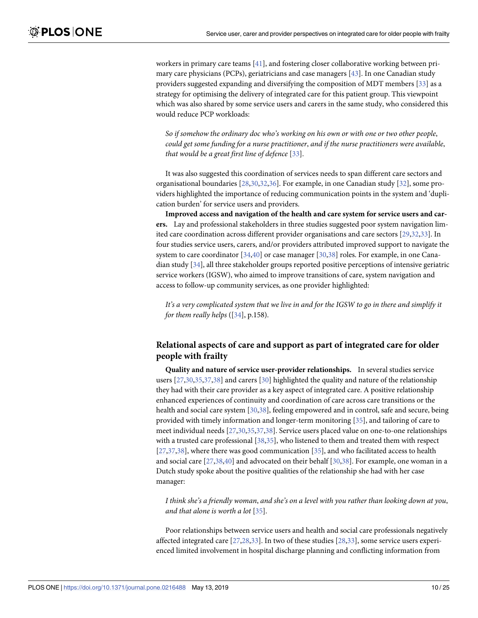workers in primary care teams [[41](#page-23-0)], and fostering closer collaborative working between primary care physicians (PCPs), geriatricians and case managers [[43](#page-23-0)]. In one Canadian study providers suggested expanding and diversifying the composition of MDT members [\[33\]](#page-22-0) as a strategy for optimising the delivery of integrated care for this patient group. This viewpoint which was also shared by some service users and carers in the same study, who considered this would reduce PCP workloads:

*So if somehow the ordinary doc who's working on his own or with one or two other people*, *could get some funding for a nurse practitioner*, *and if the nurse practitioners were available*, *that would be a great first line of defence* [\[33\]](#page-22-0).

It was also suggested this coordination of services needs to span different care sectors and organisational boundaries [\[28,30,32](#page-22-0),[36](#page-23-0)]. For example, in one Canadian study [[32](#page-22-0)], some providers highlighted the importance of reducing communication points in the system and 'duplication burden' for service users and providers.

**Improved access and navigation of the health and care system for service users and carers.** Lay and professional stakeholders in three studies suggested poor system navigation limited care coordination across different provider organisations and care sectors [\[29,32,33](#page-22-0)]. In four studies service users, carers, and/or providers attributed improved support to navigate the system to care coordinator [[34](#page-22-0)[,40\]](#page-23-0) or case manager [[30](#page-22-0)[,38\]](#page-23-0) roles. For example, in one Canadian study [\[34\]](#page-22-0), all three stakeholder groups reported positive perceptions of intensive geriatric service workers (IGSW), who aimed to improve transitions of care, system navigation and access to follow-up community services, as one provider highlighted:

It's a very complicated system that we live in and for the IGSW to go in there and simplify it *for them really helps* ([[34](#page-22-0)], p.158).

# **Relational aspects of care and support as part of integrated care for older people with frailty**

**Quality and nature of service user-provider relationships.** In several studies service users [\[27,30](#page-22-0),[35,37,38\]](#page-23-0) and carers [\[30](#page-22-0)] highlighted the quality and nature of the relationship they had with their care provider as a key aspect of integrated care. A positive relationship enhanced experiences of continuity and coordination of care across care transitions or the health and social care system [\[30,](#page-22-0)[38](#page-23-0)], feeling empowered and in control, safe and secure, being provided with timely information and longer-term monitoring [[35](#page-23-0)], and tailoring of care to meet individual needs [\[27,30](#page-22-0),[35,37,38\]](#page-23-0). Service users placed value on one-to-one relationships with a trusted care professional [\[38,35\]](#page-23-0), who listened to them and treated them with respect [\[27](#page-22-0)[,37,38](#page-23-0)], where there was good communication [\[35\]](#page-23-0), and who facilitated access to health and social care [\[27,](#page-22-0)[38](#page-23-0),[40](#page-23-0)] and advocated on their behalf [\[30,](#page-22-0)[38](#page-23-0)]. For example, one woman in a Dutch study spoke about the positive qualities of the relationship she had with her case manager:

I think she's a friendly woman, and she's on a level with you rather than looking down at you, *and that alone is worth a lot* [\[35\]](#page-23-0).

Poor relationships between service users and health and social care professionals negatively affected integrated care [\[27,28](#page-22-0),[33](#page-22-0)]. In two of these studies [\[28,33](#page-22-0)], some service users experienced limited involvement in hospital discharge planning and conflicting information from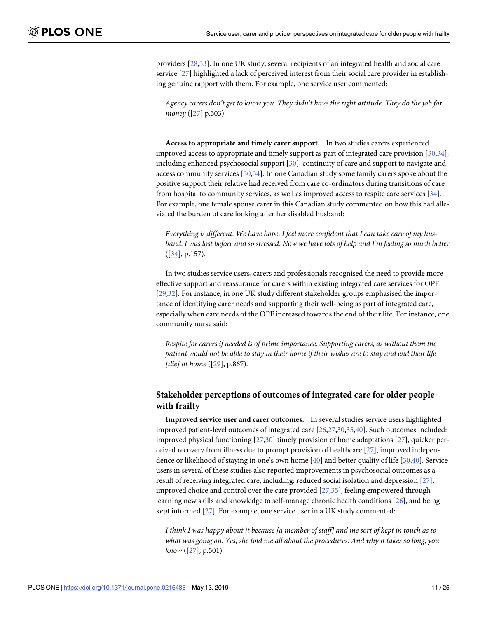providers [[28,33\]](#page-22-0). In one UK study, several recipients of an integrated health and social care service [[27](#page-22-0)] highlighted a lack of perceived interest from their social care provider in establishing genuine rapport with them. For example, one service user commented:

*Agency carers don't get to know you*. *They didn't have the right attitude*. *They do the job for money* ([\[27\]](#page-22-0) p.503).

**Access to appropriate and timely carer support.** In two studies carers experienced improved access to appropriate and timely support as part of integrated care provision [\[30,34](#page-22-0)], including enhanced psychosocial support [\[30\]](#page-22-0), continuity of care and support to navigate and access community services [[30](#page-22-0),[34](#page-22-0)]. In one Canadian study some family carers spoke about the positive support their relative had received from care co-ordinators during transitions of care from hospital to community services, as well as improved access to respite care services [[34](#page-22-0)]. For example, one female spouse carer in this Canadian study commented on how this had alleviated the burden of care looking after her disabled husband:

*Everything is different*. *We have hope*. *I feel more confident that I can take care of my hus*band. I was lost before and so stressed. Now we have lots of help and I'm feeling so much better ([[34](#page-22-0)], p.157).

In two studies service users, carers and professionals recognised the need to provide more effective support and reassurance for carers within existing integrated care services for OPF [\[29,32\]](#page-22-0). For instance, in one UK study different stakeholder groups emphasised the importance of identifying carer needs and supporting their well-being as part of integrated care, especially when care needs of the OPF increased towards the end of their life. For instance, one community nurse said:

*Respite for carers if needed is of prime importance*. *Supporting carers*, *as without them the* patient would not be able to stay in their home if their wishes are to stay and end their life *[die] at home* ([\[29\]](#page-22-0), p.867).

# **Stakeholder perceptions of outcomes of integrated care for older people with frailty**

**Improved service user and carer outcomes.** In several studies service users highlighted improved patient-level outcomes of integrated care [[26,27,30,](#page-22-0)[35](#page-23-0),[40](#page-23-0)]. Such outcomes included: improved physical functioning [\[27,30](#page-22-0)] timely provision of home adaptations [\[27\]](#page-22-0), quicker perceived recovery from illness due to prompt provision of healthcare [\[27\]](#page-22-0), improved independence or likelihood of staying in one's own home [[40](#page-23-0)] and better quality of life [\[30,](#page-22-0)[40](#page-23-0)]. Service users in several of these studies also reported improvements in psychosocial outcomes as a result of receiving integrated care, including: reduced social isolation and depression [\[27\]](#page-22-0), improved choice and control over the care provided [\[27,](#page-22-0)[35\]](#page-23-0), feeling empowered through learning new skills and knowledge to self-manage chronic health conditions [[26](#page-22-0)], and being kept informed [[27](#page-22-0)]. For example, one service user in a UK study commented:

I think I was happy about it because [a member of staff] and me sort of kept in touch as to *what was going on*. *Yes*, *she told me all about the procedures*. *And why it takes so long*, *you know* ([\[27\]](#page-22-0), p.501).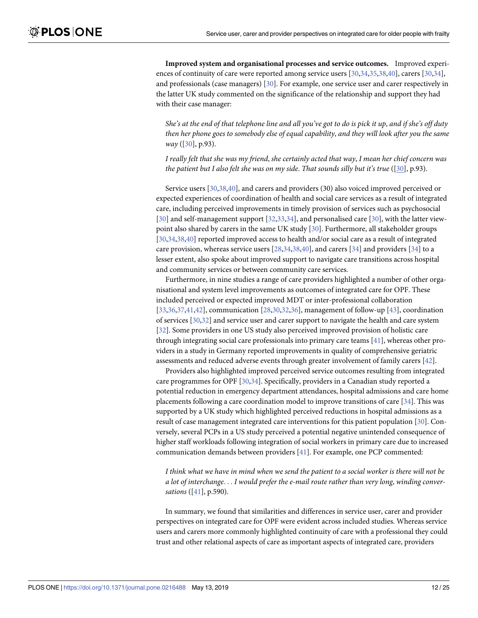**Improved system and organisational processes and service outcomes.** Improved experiences of continuity of care were reported among service users [[30](#page-22-0),[34](#page-22-0)[,35,38,40](#page-23-0)], carers [[30](#page-22-0),[34](#page-22-0)], and professionals (case managers) [\[30\]](#page-22-0). For example, one service user and carer respectively in the latter UK study commented on the significance of the relationship and support they had with their case manager:

She's at the end of that telephone line and all you've got to do is pick it up, and if she's off duty *then her phone goes to somebody else of equal capability*, *and they will look after you the same way* ([[30](#page-22-0)], p.93).

I really felt that she was my friend, she certainly acted that way, I mean her chief concern was *the patient but I also felt she was on my side*. *That sounds silly but it's true* ([[30](#page-22-0)], p.93).

Service users [[30](#page-22-0)[,38,40\]](#page-23-0), and carers and providers (30) also voiced improved perceived or expected experiences of coordination of health and social care services as a result of integrated care, including perceived improvements in timely provision of services such as psychosocial [\[30\]](#page-22-0) and self-management support [\[32,33,34](#page-22-0)], and personalised care [[30](#page-22-0)], with the latter viewpoint also shared by carers in the same UK study [\[30\]](#page-22-0). Furthermore, all stakeholder groups [\[30,34,](#page-22-0)[38](#page-23-0),[40](#page-23-0)] reported improved access to health and/or social care as a result of integrated care provision, whereas service users [\[28,34](#page-22-0),[38,40\]](#page-23-0), and carers [[34](#page-22-0)] and providers [[34](#page-22-0)] to a lesser extent, also spoke about improved support to navigate care transitions across hospital and community services or between community care services.

Furthermore, in nine studies a range of care providers highlighted a number of other organisational and system level improvements as outcomes of integrated care for OPF. These included perceived or expected improved MDT or inter-professional collaboration [\[33](#page-22-0)[,36,37](#page-23-0),[41,42\]](#page-23-0), communication [\[28,30,32](#page-22-0),[36](#page-23-0)], management of follow-up [[43](#page-23-0)], coordination of services [[30,32\]](#page-22-0) and service user and carer support to navigate the health and care system [\[32\]](#page-22-0). Some providers in one US study also perceived improved provision of holistic care through integrating social care professionals into primary care teams [[41](#page-23-0)], whereas other providers in a study in Germany reported improvements in quality of comprehensive geriatric assessments and reduced adverse events through greater involvement of family carers [\[42\]](#page-23-0).

Providers also highlighted improved perceived service outcomes resulting from integrated care programmes for OPF [[30,34\]](#page-22-0). Specifically, providers in a Canadian study reported a potential reduction in emergency department attendances, hospital admissions and care home placements following a care coordination model to improve transitions of care [\[34\]](#page-22-0). This was supported by a UK study which highlighted perceived reductions in hospital admissions as a result of case management integrated care interventions for this patient population [\[30\]](#page-22-0). Conversely, several PCPs in a US study perceived a potential negative unintended consequence of higher staff workloads following integration of social workers in primary care due to increased communication demands between providers [[41](#page-23-0)]. For example, one PCP commented:

I think what we have in mind when we send the patient to a social worker is there will not be *a lot of interchange*. . . *I would prefer the e-mail route rather than very long*, *winding conversations* ([\[41\]](#page-23-0), p.590).

In summary, we found that similarities and differences in service user, carer and provider perspectives on integrated care for OPF were evident across included studies. Whereas service users and carers more commonly highlighted continuity of care with a professional they could trust and other relational aspects of care as important aspects of integrated care, providers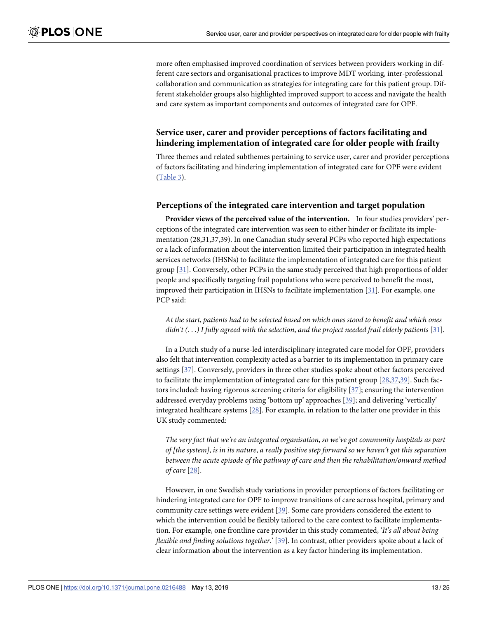more often emphasised improved coordination of services between providers working in different care sectors and organisational practices to improve MDT working, inter-professional collaboration and communication as strategies for integrating care for this patient group. Different stakeholder groups also highlighted improved support to access and navigate the health and care system as important components and outcomes of integrated care for OPF.

# **Service user, carer and provider perceptions of factors facilitating and hindering implementation of integrated care for older people with frailty**

Three themes and related subthemes pertaining to service user, carer and provider perceptions of factors facilitating and hindering implementation of integrated care for OPF were evident [\(Table](#page-6-0) 3).

### **Perceptions of the integrated care intervention and target population**

**Provider views of the perceived value of the intervention.** In four studies providers' perceptions of the integrated care intervention was seen to either hinder or facilitate its implementation (28,31,37,39). In one Canadian study several PCPs who reported high expectations or a lack of information about the intervention limited their participation in integrated health services networks (IHSNs) to facilitate the implementation of integrated care for this patient group [\[31\]](#page-22-0). Conversely, other PCPs in the same study perceived that high proportions of older people and specifically targeting frail populations who were perceived to benefit the most, improved their participation in IHSNs to facilitate implementation [\[31\]](#page-22-0). For example, one PCP said:

*At the start*, *patients had to be selected based on which ones stood to benefit and which ones didn't (*. . .*) I fully agreed with the selection*, *and the project needed frail elderly patients* [[31](#page-22-0)].

In a Dutch study of a nurse-led interdisciplinary integrated care model for OPF, providers also felt that intervention complexity acted as a barrier to its implementation in primary care settings [[37](#page-23-0)]. Conversely, providers in three other studies spoke about other factors perceived to facilitate the implementation of integrated care for this patient group  $[28,37,39]$  $[28,37,39]$  $[28,37,39]$  $[28,37,39]$  $[28,37,39]$ . Such factors included: having rigorous screening criteria for eligibility [[37](#page-23-0)]; ensuring the intervention addressed everyday problems using 'bottom up' approaches [\[39\]](#page-23-0); and delivering 'vertically' integrated healthcare systems [\[28\]](#page-22-0). For example, in relation to the latter one provider in this UK study commented:

*The very fact that we're an integrated organisation*, *so we've got community hospitals as part* of [the system], is in its nature, a really positive step forward so we haven't got this separation *between the acute episode of the pathway of care and then the rehabilitation/onward method of care* [\[28\]](#page-22-0).

However, in one Swedish study variations in provider perceptions of factors facilitating or hindering integrated care for OPF to improve transitions of care across hospital, primary and community care settings were evident [\[39\]](#page-23-0). Some care providers considered the extent to which the intervention could be flexibly tailored to the care context to facilitate implementation. For example, one frontline care provider in this study commented, '*It's all about being flexible and finding solutions together*.' [[39](#page-23-0)]. In contrast, other providers spoke about a lack of clear information about the intervention as a key factor hindering its implementation.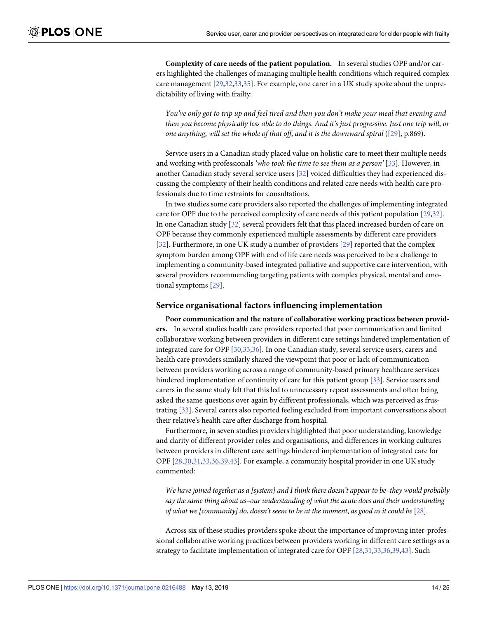**Complexity of care needs of the patient population.** In several studies OPF and/or carers highlighted the challenges of managing multiple health conditions which required complex care management [\[29,32,33,](#page-22-0)[35](#page-23-0)]. For example, one carer in a UK study spoke about the unpredictability of living with frailty:

You've only got to trip up and feel tired and then you don't make your meal that evening and then you become physically less able to do things. And it's just progressive. Just one trip will, or *one anything*, *will set the whole of that off*, *and it is the downward spiral* ([\[29\]](#page-22-0), p.869).

Service users in a Canadian study placed value on holistic care to meet their multiple needs and working with professionals *'who took the time to see them as a person'* [\[33\]](#page-22-0). However, in another Canadian study several service users [[32](#page-22-0)] voiced difficulties they had experienced discussing the complexity of their health conditions and related care needs with health care professionals due to time restraints for consultations.

In two studies some care providers also reported the challenges of implementing integrated care for OPF due to the perceived complexity of care needs of this patient population [\[29,32](#page-22-0)]. In one Canadian study [\[32\]](#page-22-0) several providers felt that this placed increased burden of care on OPF because they commonly experienced multiple assessments by different care providers [\[32\]](#page-22-0). Furthermore, in one UK study a number of providers [[29](#page-22-0)] reported that the complex symptom burden among OPF with end of life care needs was perceived to be a challenge to implementing a community-based integrated palliative and supportive care intervention, with several providers recommending targeting patients with complex physical, mental and emotional symptoms [\[29\]](#page-22-0).

### **Service organisational factors influencing implementation**

**Poor communication and the nature of collaborative working practices between providers.** In several studies health care providers reported that poor communication and limited collaborative working between providers in different care settings hindered implementation of integrated care for OPF [\[30,33,](#page-22-0)[36](#page-23-0)]. In one Canadian study, several service users, carers and health care providers similarly shared the viewpoint that poor or lack of communication between providers working across a range of community-based primary healthcare services hindered implementation of continuity of care for this patient group [[33](#page-22-0)]. Service users and carers in the same study felt that this led to unnecessary repeat assessments and often being asked the same questions over again by different professionals, which was perceived as frustrating [\[33\]](#page-22-0). Several carers also reported feeling excluded from important conversations about their relative's health care after discharge from hospital.

Furthermore, in seven studies providers highlighted that poor understanding, knowledge and clarity of different provider roles and organisations, and differences in working cultures between providers in different care settings hindered implementation of integrated care for OPF [[28](#page-22-0),[30,31,33,](#page-22-0)[36,39](#page-23-0),[43\]](#page-23-0). For example, a community hospital provider in one UK study commented:

*We have joined together as a [system] and I think there doesn't appear to be–they would probably say the same thing about us–our understanding of what the acute does and their understanding of what we [community] do*, *doesn't seem to be at the moment*, *as good as it could be* [[28\]](#page-22-0).

Across six of these studies providers spoke about the importance of improving inter-professional collaborative working practices between providers working in different care settings as a strategy to facilitate implementation of integrated care for OPF [\[28,31,33](#page-22-0),[36,39,43\]](#page-23-0). Such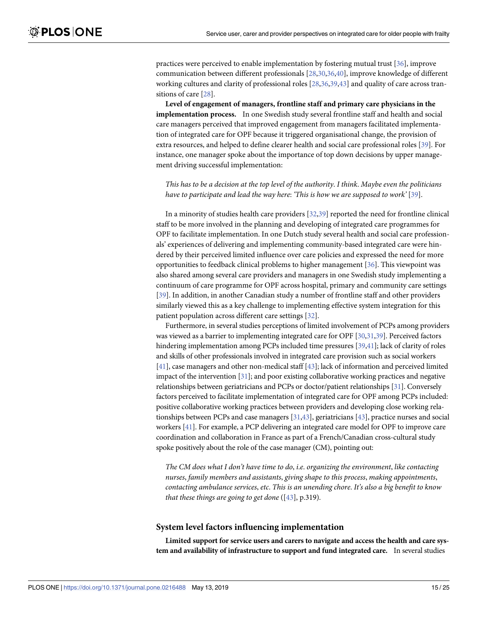practices were perceived to enable implementation by fostering mutual trust [\[36\]](#page-23-0), improve communication between different professionals [\[28,30,](#page-22-0)[36,40](#page-23-0)], improve knowledge of different working cultures and clarity of professional roles [\[28](#page-22-0)[,36,39](#page-23-0),[43](#page-23-0)] and quality of care across transitions of care [[28](#page-22-0)].

**Level of engagement of managers, frontline staff and primary care physicians in the implementation process.** In one Swedish study several frontline staff and health and social care managers perceived that improved engagement from managers facilitated implementation of integrated care for OPF because it triggered organisational change, the provision of extra resources, and helped to define clearer health and social care professional roles [\[39\]](#page-23-0). For instance, one manager spoke about the importance of top down decisions by upper management driving successful implementation:

This has to be a decision at the top level of the authority. I think. Maybe even the politicians *have to participate and lead the way here*: *'This is how we are supposed to work'* [\[39\]](#page-23-0).

In a minority of studies health care providers [\[32,](#page-22-0)[39\]](#page-23-0) reported the need for frontline clinical staff to be more involved in the planning and developing of integrated care programmes for OPF to facilitate implementation. In one Dutch study several health and social care professionals' experiences of delivering and implementing community-based integrated care were hindered by their perceived limited influence over care policies and expressed the need for more opportunities to feedback clinical problems to higher management [[36](#page-23-0)]. This viewpoint was also shared among several care providers and managers in one Swedish study implementing a continuum of care programme for OPF across hospital, primary and community care settings [\[39\]](#page-23-0). In addition, in another Canadian study a number of frontline staff and other providers similarly viewed this as a key challenge to implementing effective system integration for this patient population across different care settings [[32](#page-22-0)].

Furthermore, in several studies perceptions of limited involvement of PCPs among providers was viewed as a barrier to implementing integrated care for OPF [\[30,31](#page-22-0)[,39\]](#page-23-0). Perceived factors hindering implementation among PCPs included time pressures [[39,41\]](#page-23-0); lack of clarity of roles and skills of other professionals involved in integrated care provision such as social workers [\[41\]](#page-23-0), case managers and other non-medical staff [[43](#page-23-0)]; lack of information and perceived limited impact of the intervention [\[31\]](#page-22-0); and poor existing collaborative working practices and negative relationships between geriatricians and PCPs or doctor/patient relationships [[31\]](#page-22-0). Conversely factors perceived to facilitate implementation of integrated care for OPF among PCPs included: positive collaborative working practices between providers and developing close working relationships between PCPs and case managers [[31](#page-22-0)[,43\]](#page-23-0), geriatricians [\[43\]](#page-23-0), practice nurses and social workers [\[41\]](#page-23-0). For example, a PCP delivering an integrated care model for OPF to improve care coordination and collaboration in France as part of a French/Canadian cross-cultural study spoke positively about the role of the case manager (CM), pointing out:

*The CM does what I don't have time to do*, *i*.*e*. *organizing the environment*, *like contacting nurses*, *family members and assistants*, *giving shape to this process*, *making appointments*, *contacting ambulance services*, *etc*. *This is an unending chore*. *It's also a big benefit to know that these things are going to get done* ([\[43\]](#page-23-0), p.319).

#### **System level factors influencing implementation**

**Limited support for service users and carers to navigate and access the health and care system and availability of infrastructure to support and fund integrated care.** In several studies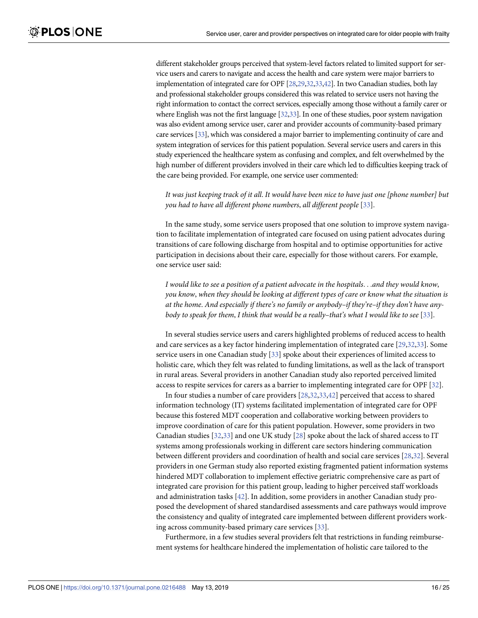different stakeholder groups perceived that system-level factors related to limited support for service users and carers to navigate and access the health and care system were major barriers to implementation of integrated care for OPF [\[28,29,32,33](#page-22-0)[,42](#page-23-0)]. In two Canadian studies, both lay and professional stakeholder groups considered this was related to service users not having the right information to contact the correct services, especially among those without a family carer or where English was not the first language [\[32,33\]](#page-22-0). In one of these studies, poor system navigation was also evident among service user, carer and provider accounts of community-based primary care services [\[33](#page-22-0)], which was considered a major barrier to implementing continuity of care and system integration of services for this patient population. Several service users and carers in this study experienced the healthcare system as confusing and complex, and felt overwhelmed by the high number of different providers involved in their care which led to difficulties keeping track of the care being provided. For example, one service user commented:

It was just keeping track of it all. It would have been nice to have just one (phone number) but *you had to have all different phone numbers*, *all different people* [\[33\]](#page-22-0).

In the same study, some service users proposed that one solution to improve system navigation to facilitate implementation of integrated care focused on using patient advocates during transitions of care following discharge from hospital and to optimise opportunities for active participation in decisions about their care, especially for those without carers. For example, one service user said:

*I would like to see a position of a patient advocate in the hospitals*. . .*and they would know*, *you know*, *when they should be looking at different types of care or know what the situation is at the home*. *And especially if there's no family or anybody–if they're–if they don't have anybody to speak for them*, *I think that would be a really–that's what I would like to see* [[33](#page-22-0)].

In several studies service users and carers highlighted problems of reduced access to health and care services as a key factor hindering implementation of integrated care [\[29,32](#page-22-0),[33](#page-22-0)]. Some service users in one Canadian study [[33](#page-22-0)] spoke about their experiences of limited access to holistic care, which they felt was related to funding limitations, as well as the lack of transport in rural areas. Several providers in another Canadian study also reported perceived limited access to respite services for carers as a barrier to implementing integrated care for OPF [\[32\]](#page-22-0).

In four studies a number of care providers [\[28,32,33](#page-22-0),[42](#page-23-0)] perceived that access to shared information technology (IT) systems facilitated implementation of integrated care for OPF because this fostered MDT cooperation and collaborative working between providers to improve coordination of care for this patient population. However, some providers in two Canadian studies [\[32,33](#page-22-0)] and one UK study [[28](#page-22-0)] spoke about the lack of shared access to IT systems among professionals working in different care sectors hindering communication between different providers and coordination of health and social care services [[28,32\]](#page-22-0). Several providers in one German study also reported existing fragmented patient information systems hindered MDT collaboration to implement effective geriatric comprehensive care as part of integrated care provision for this patient group, leading to higher perceived staff workloads and administration tasks [\[42\]](#page-23-0). In addition, some providers in another Canadian study proposed the development of shared standardised assessments and care pathways would improve the consistency and quality of integrated care implemented between different providers working across community-based primary care services [\[33\]](#page-22-0).

Furthermore, in a few studies several providers felt that restrictions in funding reimbursement systems for healthcare hindered the implementation of holistic care tailored to the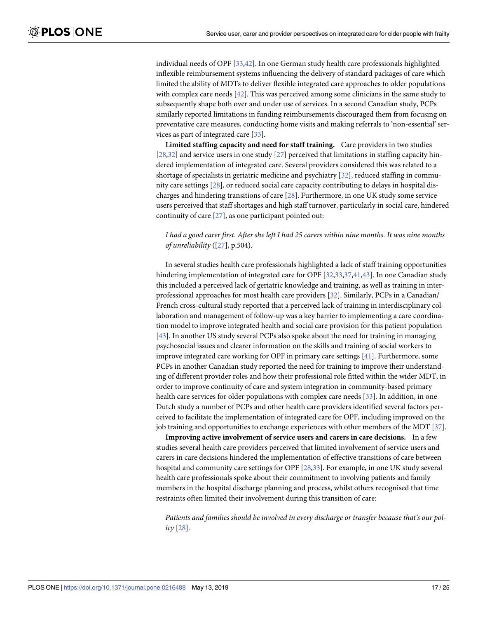individual needs of OPF [\[33,](#page-22-0)[42](#page-23-0)]. In one German study health care professionals highlighted inflexible reimbursement systems influencing the delivery of standard packages of care which limited the ability of MDTs to deliver flexible integrated care approaches to older populations with complex care needs [\[42\]](#page-23-0). This was perceived among some clinicians in the same study to subsequently shape both over and under use of services. In a second Canadian study, PCPs similarly reported limitations in funding reimbursements discouraged them from focusing on preventative care measures, conducting home visits and making referrals to 'non-essential' services as part of integrated care [\[33\]](#page-22-0).

**Limited staffing capacity and need for staff training.** Care providers in two studies [\[28,32\]](#page-22-0) and service users in one study [\[27\]](#page-22-0) perceived that limitations in staffing capacity hindered implementation of integrated care. Several providers considered this was related to a shortage of specialists in geriatric medicine and psychiatry [\[32\]](#page-22-0), reduced staffing in community care settings [\[28\]](#page-22-0), or reduced social care capacity contributing to delays in hospital discharges and hindering transitions of care [\[28\]](#page-22-0). Furthermore, in one UK study some service users perceived that staff shortages and high staff turnover, particularly in social care, hindered continuity of care [[27](#page-22-0)], as one participant pointed out:

### I had a good carer first. After she left I had 25 carers within nine months. It was nine months *of unreliability* ([[27](#page-22-0)], p.504).

In several studies health care professionals highlighted a lack of staff training opportunities hindering implementation of integrated care for OPF [\[32,33,](#page-22-0)[37,41](#page-23-0),[43\]](#page-23-0). In one Canadian study this included a perceived lack of geriatric knowledge and training, as well as training in interprofessional approaches for most health care providers [[32](#page-22-0)]. Similarly, PCPs in a Canadian/ French cross-cultural study reported that a perceived lack of training in interdisciplinary collaboration and management of follow-up was a key barrier to implementing a care coordination model to improve integrated health and social care provision for this patient population [\[43\]](#page-23-0). In another US study several PCPs also spoke about the need for training in managing psychosocial issues and clearer information on the skills and training of social workers to improve integrated care working for OPF in primary care settings [[41](#page-23-0)]. Furthermore, some PCPs in another Canadian study reported the need for training to improve their understanding of different provider roles and how their professional role fitted within the wider MDT, in order to improve continuity of care and system integration in community-based primary health care services for older populations with complex care needs [\[33\]](#page-22-0). In addition, in one Dutch study a number of PCPs and other health care providers identified several factors perceived to facilitate the implementation of integrated care for OPF, including improved on the job training and opportunities to exchange experiences with other members of the MDT [[37](#page-23-0)].

**Improving active involvement of service users and carers in care decisions.** In a few studies several health care providers perceived that limited involvement of service users and carers in care decisions hindered the implementation of effective transitions of care between hospital and community care settings for OPF [[28](#page-22-0),[33](#page-22-0)]. For example, in one UK study several health care professionals spoke about their commitment to involving patients and family members in the hospital discharge planning and process, whilst others recognised that time restraints often limited their involvement during this transition of care:

*Patients and families should be involved in every discharge or transfer because that's our policy* [\[28\]](#page-22-0).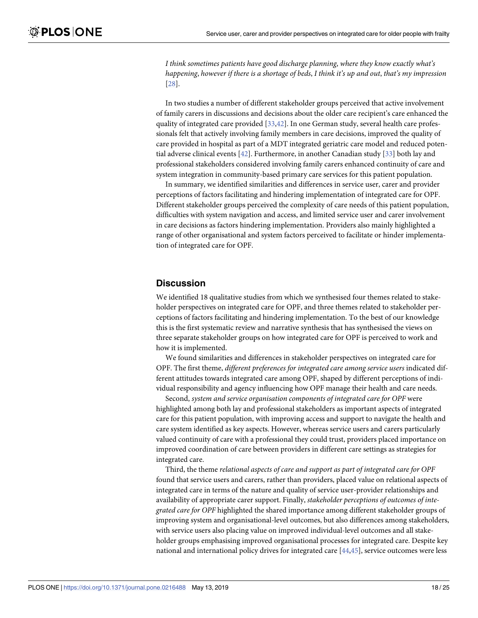<span id="page-17-0"></span>*I think sometimes patients have good discharge planning*, *where they know exactly what's happening*, *however if there is a shortage of beds*, *I think it's up and out*, *that's my impression* [\[28\]](#page-22-0).

In two studies a number of different stakeholder groups perceived that active involvement of family carers in discussions and decisions about the older care recipient's care enhanced the quality of integrated care provided [[33](#page-22-0),[42](#page-23-0)]. In one German study, several health care professionals felt that actively involving family members in care decisions, improved the quality of care provided in hospital as part of a MDT integrated geriatric care model and reduced potential adverse clinical events [\[42\]](#page-23-0). Furthermore, in another Canadian study [[33\]](#page-22-0) both lay and professional stakeholders considered involving family carers enhanced continuity of care and system integration in community-based primary care services for this patient population.

In summary, we identified similarities and differences in service user, carer and provider perceptions of factors facilitating and hindering implementation of integrated care for OPF. Different stakeholder groups perceived the complexity of care needs of this patient population, difficulties with system navigation and access, and limited service user and carer involvement in care decisions as factors hindering implementation. Providers also mainly highlighted a range of other organisational and system factors perceived to facilitate or hinder implementation of integrated care for OPF.

### **Discussion**

We identified 18 qualitative studies from which we synthesised four themes related to stakeholder perspectives on integrated care for OPF, and three themes related to stakeholder perceptions of factors facilitating and hindering implementation. To the best of our knowledge this is the first systematic review and narrative synthesis that has synthesised the views on three separate stakeholder groups on how integrated care for OPF is perceived to work and how it is implemented.

We found similarities and differences in stakeholder perspectives on integrated care for OPF. The first theme, *different preferences for integrated care among service users* indicated different attitudes towards integrated care among OPF, shaped by different perceptions of individual responsibility and agency influencing how OPF manage their health and care needs.

Second, *system and service organisation components of integrated care for OPF* were highlighted among both lay and professional stakeholders as important aspects of integrated care for this patient population, with improving access and support to navigate the health and care system identified as key aspects. However, whereas service users and carers particularly valued continuity of care with a professional they could trust, providers placed importance on improved coordination of care between providers in different care settings as strategies for integrated care.

Third, the theme *relational aspects of care and support as part of integrated care for OPF* found that service users and carers, rather than providers, placed value on relational aspects of integrated care in terms of the nature and quality of service user-provider relationships and availability of appropriate carer support. Finally, *stakeholder perceptions of outcomes of integrated care for OPF* highlighted the shared importance among different stakeholder groups of improving system and organisational-level outcomes, but also differences among stakeholders, with service users also placing value on improved individual-level outcomes and all stakeholder groups emphasising improved organisational processes for integrated care. Despite key national and international policy drives for integrated care [[44](#page-23-0),[45](#page-23-0)], service outcomes were less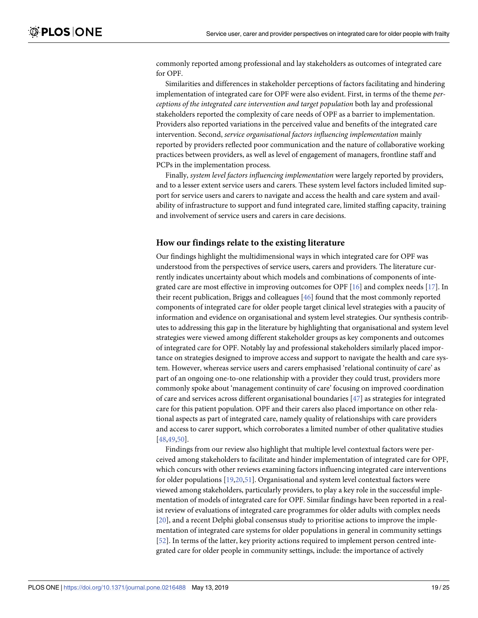<span id="page-18-0"></span>commonly reported among professional and lay stakeholders as outcomes of integrated care for OPF.

Similarities and differences in stakeholder perceptions of factors facilitating and hindering implementation of integrated care for OPF were also evident. First, in terms of the theme *perceptions of the integrated care intervention and target population* both lay and professional stakeholders reported the complexity of care needs of OPF as a barrier to implementation. Providers also reported variations in the perceived value and benefits of the integrated care intervention. Second, *service organisational factors influencing implementation* mainly reported by providers reflected poor communication and the nature of collaborative working practices between providers, as well as level of engagement of managers, frontline staff and PCPs in the implementation process.

Finally, *system level factors influencing implementation* were largely reported by providers, and to a lesser extent service users and carers. These system level factors included limited support for service users and carers to navigate and access the health and care system and availability of infrastructure to support and fund integrated care, limited staffing capacity, training and involvement of service users and carers in care decisions.

### **How our findings relate to the existing literature**

Our findings highlight the multidimensional ways in which integrated care for OPF was understood from the perspectives of service users, carers and providers. The literature currently indicates uncertainty about which models and combinations of components of inte-grated care are most effective in improving outcomes for OPF [\[16\]](#page-22-0) and complex needs [\[17\]](#page-22-0). In their recent publication, Briggs and colleagues [[46](#page-23-0)] found that the most commonly reported components of integrated care for older people target clinical level strategies with a paucity of information and evidence on organisational and system level strategies. Our synthesis contributes to addressing this gap in the literature by highlighting that organisational and system level strategies were viewed among different stakeholder groups as key components and outcomes of integrated care for OPF. Notably lay and professional stakeholders similarly placed importance on strategies designed to improve access and support to navigate the health and care system. However, whereas service users and carers emphasised 'relational continuity of care' as part of an ongoing one-to-one relationship with a provider they could trust, providers more commonly spoke about 'management continuity of care' focusing on improved coordination of care and services across different organisational boundaries [\[47\]](#page-23-0) as strategies for integrated care for this patient population. OPF and their carers also placed importance on other relational aspects as part of integrated care, namely quality of relationships with care providers and access to carer support, which corroborates a limited number of other qualitative studies [\[48,49,50](#page-23-0)].

Findings from our review also highlight that multiple level contextual factors were perceived among stakeholders to facilitate and hinder implementation of integrated care for OPF, which concurs with other reviews examining factors influencing integrated care interventions for older populations [[19,20](#page-22-0)[,51\]](#page-23-0). Organisational and system level contextual factors were viewed among stakeholders, particularly providers, to play a key role in the successful implementation of models of integrated care for OPF. Similar findings have been reported in a realist review of evaluations of integrated care programmes for older adults with complex needs [\[20\]](#page-22-0), and a recent Delphi global consensus study to prioritise actions to improve the implementation of integrated care systems for older populations in general in community settings [\[52\]](#page-23-0). In terms of the latter, key priority actions required to implement person centred integrated care for older people in community settings, include: the importance of actively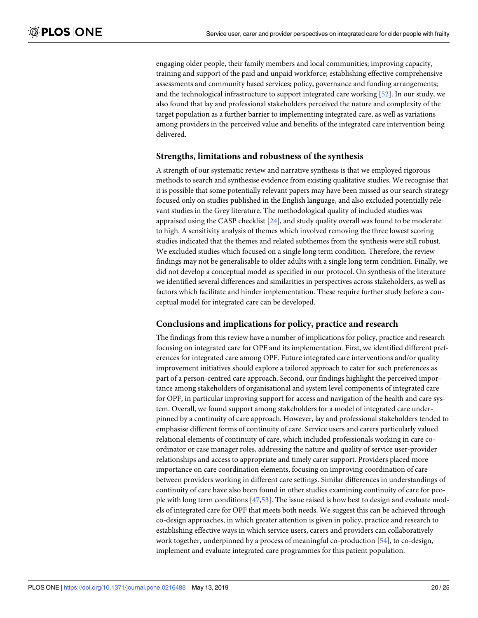<span id="page-19-0"></span>engaging older people, their family members and local communities; improving capacity, training and support of the paid and unpaid workforce; establishing effective comprehensive assessments and community based services; policy, governance and funding arrangements; and the technological infrastructure to support integrated care working [[52](#page-23-0)]. In our study, we also found that lay and professional stakeholders perceived the nature and complexity of the target population as a further barrier to implementing integrated care, as well as variations among providers in the perceived value and benefits of the integrated care intervention being delivered.

### **Strengths, limitations and robustness of the synthesis**

A strength of our systematic review and narrative synthesis is that we employed rigorous methods to search and synthesise evidence from existing qualitative studies. We recognise that it is possible that some potentially relevant papers may have been missed as our search strategy focused only on studies published in the English language, and also excluded potentially relevant studies in the Grey literature. The methodological quality of included studies was appraised using the CASP checklist [[24](#page-22-0)], and study quality overall was found to be moderate to high. A sensitivity analysis of themes which involved removing the three lowest scoring studies indicated that the themes and related subthemes from the synthesis were still robust. We excluded studies which focused on a single long term condition. Therefore, the review findings may not be generalisable to older adults with a single long term condition. Finally, we did not develop a conceptual model as specified in our protocol. On synthesis of the literature we identified several differences and similarities in perspectives across stakeholders, as well as factors which facilitate and hinder implementation. These require further study before a conceptual model for integrated care can be developed.

# **Conclusions and implications for policy, practice and research**

The findings from this review have a number of implications for policy, practice and research focusing on integrated care for OPF and its implementation. First, we identified different preferences for integrated care among OPF. Future integrated care interventions and/or quality improvement initiatives should explore a tailored approach to cater for such preferences as part of a person-centred care approach. Second, our findings highlight the perceived importance among stakeholders of organisational and system level components of integrated care for OPF, in particular improving support for access and navigation of the health and care system. Overall, we found support among stakeholders for a model of integrated care underpinned by a continuity of care approach. However, lay and professional stakeholders tended to emphasise different forms of continuity of care. Service users and carers particularly valued relational elements of continuity of care, which included professionals working in care coordinator or case manager roles, addressing the nature and quality of service user-provider relationships and access to appropriate and timely carer support. Providers placed more importance on care coordination elements, focusing on improving coordination of care between providers working in different care settings. Similar differences in understandings of continuity of care have also been found in other studies examining continuity of care for people with long term conditions [\[47,53\]](#page-23-0). The issue raised is how best to design and evaluate models of integrated care for OPF that meets both needs. We suggest this can be achieved through co-design approaches, in which greater attention is given in policy, practice and research to establishing effective ways in which service users, carers and providers can collaboratively work together, underpinned by a process of meaningful co-production [\[54](#page-23-0)], to co-design, implement and evaluate integrated care programmes for this patient population.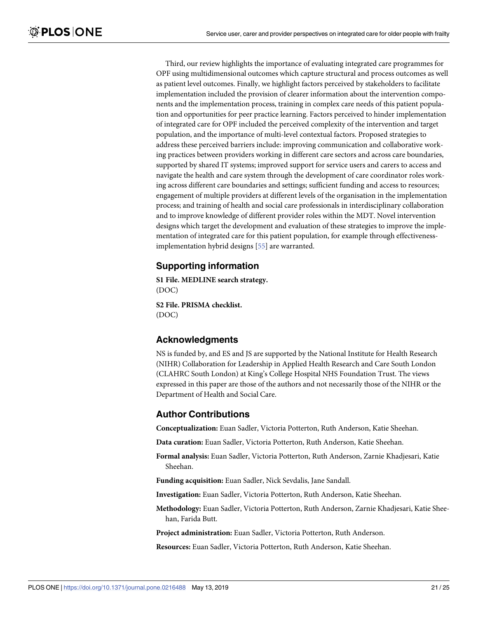<span id="page-20-0"></span>Third, our review highlights the importance of evaluating integrated care programmes for OPF using multidimensional outcomes which capture structural and process outcomes as well as patient level outcomes. Finally, we highlight factors perceived by stakeholders to facilitate implementation included the provision of clearer information about the intervention components and the implementation process, training in complex care needs of this patient population and opportunities for peer practice learning. Factors perceived to hinder implementation of integrated care for OPF included the perceived complexity of the intervention and target population, and the importance of multi-level contextual factors. Proposed strategies to address these perceived barriers include: improving communication and collaborative working practices between providers working in different care sectors and across care boundaries, supported by shared IT systems; improved support for service users and carers to access and navigate the health and care system through the development of care coordinator roles working across different care boundaries and settings; sufficient funding and access to resources; engagement of multiple providers at different levels of the organisation in the implementation process; and training of health and social care professionals in interdisciplinary collaboration and to improve knowledge of different provider roles within the MDT. Novel intervention designs which target the development and evaluation of these strategies to improve the implementation of integrated care for this patient population, for example through effectivenessimplementation hybrid designs [\[55\]](#page-24-0) are warranted.

# **Supporting information**

**S1 [File.](http://www.plosone.org/article/fetchSingleRepresentation.action?uri=info:doi/10.1371/journal.pone.0216488.s001) MEDLINE search strategy.** (DOC)

**S2 [File.](http://www.plosone.org/article/fetchSingleRepresentation.action?uri=info:doi/10.1371/journal.pone.0216488.s002) PRISMA checklist.** (DOC)

# **Acknowledgments**

NS is funded by, and ES and JS are supported by the National Institute for Health Research (NIHR) Collaboration for Leadership in Applied Health Research and Care South London (CLAHRC South London) at King's College Hospital NHS Foundation Trust. The views expressed in this paper are those of the authors and not necessarily those of the NIHR or the Department of Health and Social Care.

# **Author Contributions**

**Conceptualization:** Euan Sadler, Victoria Potterton, Ruth Anderson, Katie Sheehan.

**Data curation:** Euan Sadler, Victoria Potterton, Ruth Anderson, Katie Sheehan.

**Formal analysis:** Euan Sadler, Victoria Potterton, Ruth Anderson, Zarnie Khadjesari, Katie Sheehan.

**Funding acquisition:** Euan Sadler, Nick Sevdalis, Jane Sandall.

**Investigation:** Euan Sadler, Victoria Potterton, Ruth Anderson, Katie Sheehan.

**Methodology:** Euan Sadler, Victoria Potterton, Ruth Anderson, Zarnie Khadjesari, Katie Sheehan, Farida Butt.

**Project administration:** Euan Sadler, Victoria Potterton, Ruth Anderson.

**Resources:** Euan Sadler, Victoria Potterton, Ruth Anderson, Katie Sheehan.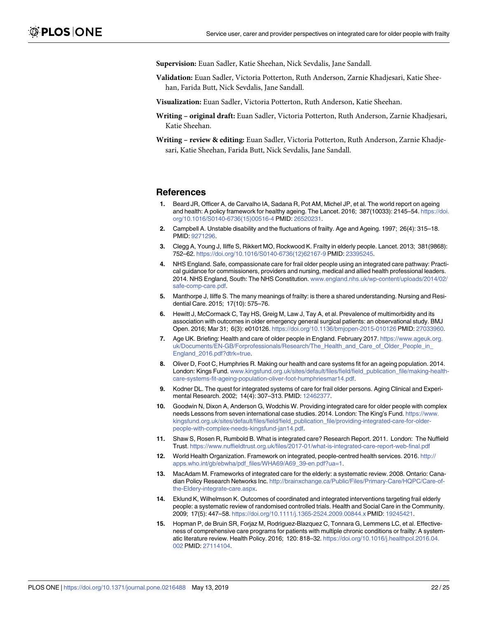<span id="page-21-0"></span>**Supervision:** Euan Sadler, Katie Sheehan, Nick Sevdalis, Jane Sandall.

- **Validation:** Euan Sadler, Victoria Potterton, Ruth Anderson, Zarnie Khadjesari, Katie Sheehan, Farida Butt, Nick Sevdalis, Jane Sandall.
- **Visualization:** Euan Sadler, Victoria Potterton, Ruth Anderson, Katie Sheehan.
- **Writing – original draft:** Euan Sadler, Victoria Potterton, Ruth Anderson, Zarnie Khadjesari, Katie Sheehan.
- **Writing – review & editing:** Euan Sadler, Victoria Potterton, Ruth Anderson, Zarnie Khadjesari, Katie Sheehan, Farida Butt, Nick Sevdalis, Jane Sandall.

### **References**

- **[1](#page-1-0).** Beard JR, Officer A, de Carvalho IA, Sadana R, Pot AM, Michel JP, et al. The world report on ageing and health: A policy framework for healthy ageing. The Lancet. 2016; 387(10033): 2145–54. [https://doi.](https://doi.org/10.1016/S0140-6736(15)00516-4) [org/10.1016/S0140-6736\(15\)00516-4](https://doi.org/10.1016/S0140-6736(15)00516-4) PMID: [26520231.](http://www.ncbi.nlm.nih.gov/pubmed/26520231)
- **[2](#page-1-0).** Campbell A. Unstable disability and the fluctuations of frailty. Age and Ageing. 1997; 26(4): 315–18. PMID: [9271296.](http://www.ncbi.nlm.nih.gov/pubmed/9271296)
- **[3](#page-1-0).** Clegg A, Young J, Iliffe S, Rikkert MO, Rockwood K. Frailty in elderly people. Lancet. 2013; 381(9868): 752–62. [https://doi.org/10.1016/S0140-6736\(12\)62167-9](https://doi.org/10.1016/S0140-6736(12)62167-9) PMID: [23395245](http://www.ncbi.nlm.nih.gov/pubmed/23395245).
- **[4](#page-1-0).** NHS England. Safe, compassionate care for frail older people using an integrated care pathway: Practical guidance for commissioners, providers and nursing, medical and allied health professional leaders. 2014. NHS England, South: The NHS Constitution. [www.england.nhs.uk/wp-content/uploads/2014/02/](http://www.england.nhs.uk/wp-content/uploads/2014/02/safe-comp-care.pdf) [safe-comp-care.pdf](http://www.england.nhs.uk/wp-content/uploads/2014/02/safe-comp-care.pdf).
- **[5](#page-1-0).** Manthorpe J, Iliffe S. The many meanings of frailty: is there a shared understanding. Nursing and Residential Care. 2015; 17(10): 575–76.
- **[6](#page-1-0).** Hewitt J, McCormack C, Tay HS, Greig M, Law J, Tay A, et al. Prevalence of multimorbidity and its association with outcomes in older emergency general surgical patients: an observational study. BMJ Open. 2016; Mar 31; 6(3): e010126. <https://doi.org/10.1136/bmjopen-2015-010126> PMID: [27033960](http://www.ncbi.nlm.nih.gov/pubmed/27033960).
- **[7](#page-1-0).** Age UK. Briefing: Health and care of older people in England. February 2017. [https://www.ageuk.org.](https://www.ageuk.org.uk/Documents/EN-GB/Forprofessionals/Research/The_Health_and_Care_of_Older_People_in_England_2016.pdf?dtrk=true) [uk/Documents/EN-GB/Forprofessionals/Research/The\\_Health\\_and\\_Care\\_of\\_Older\\_People\\_in\\_](https://www.ageuk.org.uk/Documents/EN-GB/Forprofessionals/Research/The_Health_and_Care_of_Older_People_in_England_2016.pdf?dtrk=true) [England\\_2016.pdf?dtrk=true.](https://www.ageuk.org.uk/Documents/EN-GB/Forprofessionals/Research/The_Health_and_Care_of_Older_People_in_England_2016.pdf?dtrk=true)
- **[8](#page-1-0).** Oliver D, Foot C, Humphries R. Making our health and care systems fit for an ageing population. 2014. London: Kings Fund. [www.kingsfund.org.uk/sites/default/files/field/field\\_publication\\_file/making-health](http://www.kingsfund.org.uk/sites/default/files/field/field_publication_file/making-health-care-systems-fit-ageing-population-oliver-foot-humphriesmar14.pdf)[care-systems-fit-ageing-population-oliver-foot-humphriesmar14.pdf.](http://www.kingsfund.org.uk/sites/default/files/field/field_publication_file/making-health-care-systems-fit-ageing-population-oliver-foot-humphriesmar14.pdf)
- **[9](#page-1-0).** Kodner DL. The quest for integrated systems of care for frail older persons. Aging Clinical and Experimental Research. 2002; 14(4): 307–313. PMID: [12462377](http://www.ncbi.nlm.nih.gov/pubmed/12462377).
- **[10](#page-1-0).** Goodwin N, Dixon A, Anderson G, Wodchis W. Providing integrated care for older people with complex needs Lessons from seven international case studies. 2014. London: The King's Fund. [https://www.](https://www.kingsfund.org.uk/sites/default/files/field/field_publication_file/providing-integrated-care-for-older-people-with-complex-needs-kingsfund-jan14.pdf) [kingsfund.org.uk/sites/default/files/field/field\\_publication\\_file/providing-integrated-care-for-older](https://www.kingsfund.org.uk/sites/default/files/field/field_publication_file/providing-integrated-care-for-older-people-with-complex-needs-kingsfund-jan14.pdf)[people-with-complex-needs-kingsfund-jan14.pdf.](https://www.kingsfund.org.uk/sites/default/files/field/field_publication_file/providing-integrated-care-for-older-people-with-complex-needs-kingsfund-jan14.pdf)
- **[11](#page-1-0).** Shaw S, Rosen R, Rumbold B. What is integrated care? Research Report. 2011. London: The Nuffield Trust. <https://www.nuffieldtrust.org.uk/files/2017-01/what-is-integrated-care-report-web-final.pdf>
- **[12](#page-1-0).** World Health Organization. Framework on integrated, people-centred health services. 2016. [http://](http://apps.who.int/gb/ebwha/pdf_files/WHA69/A69_39-en.pdf?ua=1) [apps.who.int/gb/ebwha/pdf\\_files/WHA69/A69\\_39-en.pdf?ua=1.](http://apps.who.int/gb/ebwha/pdf_files/WHA69/A69_39-en.pdf?ua=1)
- **[13](#page-1-0).** MacAdam M. Frameworks of integrated care for the elderly: a systematic review. 2008. Ontario: Canadian Policy Research Networks Inc. [http://brainxchange.ca/Public/Files/Primary-Care/HQPC/Care-of](http://brainxchange.ca/Public/Files/Primary-Care/HQPC/Care-of-the-Eldery-integrate-care.aspx)[the-Eldery-integrate-care.aspx](http://brainxchange.ca/Public/Files/Primary-Care/HQPC/Care-of-the-Eldery-integrate-care.aspx).
- **[14](#page-1-0).** Eklund K, Wilhelmson K. Outcomes of coordinated and integrated interventions targeting frail elderly people: a systematic review of randomised controlled trials. Health and Social Care in the Community. 2009; 17(5): 447–58. <https://doi.org/10.1111/j.1365-2524.2009.00844.x> PMID: [19245421](http://www.ncbi.nlm.nih.gov/pubmed/19245421).
- **[15](#page-1-0).** Hopman P, de Bruin SR, Forjaz M, Rodriguez-Blazquez C, Tonnara G, Lemmens LC, et al. Effectiveness of comprehensive care programs for patients with multiple chronic conditions or frailty: A systematic literature review. Health Policy. 2016; 120: 818–32. [https://doi.org/10.1016/j.healthpol.2016.04.](https://doi.org/10.1016/j.healthpol.2016.04.002) [002](https://doi.org/10.1016/j.healthpol.2016.04.002) PMID: [27114104.](http://www.ncbi.nlm.nih.gov/pubmed/27114104)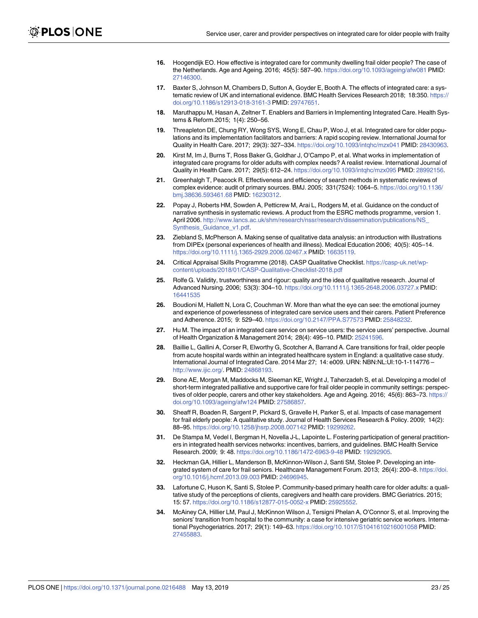- <span id="page-22-0"></span>**[16](#page-1-0).** Hoogendijk EO. How effective is integrated care for community dwelling frail older people? The case of the Netherlands. Age and Ageing. 2016; 45(5): 587–90. <https://doi.org/10.1093/ageing/afw081> PMID: [27146300](http://www.ncbi.nlm.nih.gov/pubmed/27146300).
- **[17](#page-1-0).** Baxter S, Johnson M, Chambers D, Sutton A, Goyder E, Booth A. The effects of integrated care: a systematic review of UK and international evidence. BMC Health Services Research 2018; 18:350. [https://](https://doi.org/10.1186/s12913-018-3161-3) [doi.org/10.1186/s12913-018-3161-3](https://doi.org/10.1186/s12913-018-3161-3) PMID: [29747651](http://www.ncbi.nlm.nih.gov/pubmed/29747651).
- **[18](#page-1-0).** Maruthappu M, Hasan A, Zeltner T. Enablers and Barriers in Implementing Integrated Care. Health Systems & Reform.2015; 1(4): 250–56.
- **[19](#page-1-0).** Threapleton DE, Chung RY, Wong SYS, Wong E, Chau P, Woo J, et al. Integrated care for older populations and its implementation facilitators and barriers: A rapid scoping review. International Journal for Quality in Health Care. 2017; 29(3): 327–334. <https://doi.org/10.1093/intqhc/mzx041> PMID: [28430963.](http://www.ncbi.nlm.nih.gov/pubmed/28430963)
- **[20](#page-1-0).** Kirst M, Im J, Burns T, Ross Baker G, Goldhar J, O'Campo P, et al. What works in implementation of integrated care programs for older adults with complex needs? A realist review. International Journal of Quality in Health Care. 2017; 29(5): 612–24. <https://doi.org/10.1093/intqhc/mzx095> PMID: [28992156](http://www.ncbi.nlm.nih.gov/pubmed/28992156).
- **[21](#page-2-0).** Greenhalgh T, Peacock R. Effectiveness and efficiency of search methods in systematic reviews of complex evidence: audit of primary sources. BMJ. 2005; 331(7524): 1064–5. [https://doi.org/10.1136/](https://doi.org/10.1136/bmj.38636.593461.68) [bmj.38636.593461.68](https://doi.org/10.1136/bmj.38636.593461.68) PMID: [16230312.](http://www.ncbi.nlm.nih.gov/pubmed/16230312)
- **[22](#page-2-0).** Popay J, Roberts HM, Sowden A, Petticrew M, Arai L, Rodgers M, et al. Guidance on the conduct of narrative synthesis in systematic reviews. A product from the ESRC methods programme, version 1. April 2006. [http://www.lancs.ac.uk/shm/research/nssr/research/dissemination/publications/NS\\_](http://www.lancs.ac.uk/shm/research/nssr/research/dissemination/publications/NS_Synthesis_Guidance_v1.pdf) [Synthesis\\_Guidance\\_v1.pdf](http://www.lancs.ac.uk/shm/research/nssr/research/dissemination/publications/NS_Synthesis_Guidance_v1.pdf).
- **[23](#page-3-0).** Ziebland S, McPherson A. Making sense of qualitative data analysis: an introduction with illustrations from DIPEx (personal experiences of health and illness). Medical Education 2006; 40(5): 405–14. <https://doi.org/10.1111/j.1365-2929.2006.02467.x> PMID: [16635119.](http://www.ncbi.nlm.nih.gov/pubmed/16635119)
- **[24](#page-3-0).** Critical Appraisal Skills Programme (2018). CASP Qualitative Checklist. [https://casp-uk.net/wp](https://casp-uk.net/wp-content/uploads/2018/01/CASP-Qualitative-Checklist-2018.pdf)[content/uploads/2018/01/CASP-Qualitative-Checklist-2018.pdf](https://casp-uk.net/wp-content/uploads/2018/01/CASP-Qualitative-Checklist-2018.pdf)
- **[25](#page-3-0).** Rolfe G. Validity, trustworthiness and rigour: quality and the idea of qualitative research. Journal of Advanced Nursing. 2006; 53(3): 304–10. <https://doi.org/10.1111/j.1365-2648.2006.03727.x> PMID: [16441535](http://www.ncbi.nlm.nih.gov/pubmed/16441535)
- **[26](#page-3-0).** Boudioni M, Hallett N, Lora C, Couchman W. More than what the eye can see: the emotional journey and experience of powerlessness of integrated care service users and their carers. Patient Preference and Adherence. 2015; 9: 529–40. <https://doi.org/10.2147/PPA.S77573> PMID: [25848232](http://www.ncbi.nlm.nih.gov/pubmed/25848232).
- **[27](#page-3-0).** Hu M. The impact of an integrated care service on service users: the service users' perspective. Journal of Health Organization & Management 2014; 28(4): 495–10. PMID: [25241596.](http://www.ncbi.nlm.nih.gov/pubmed/25241596)
- **[28](#page-3-0).** Baillie L, Gallini A, Corser R, Elworthy G, Scotcher A, Barrand A. Care transitions for frail, older people from acute hospital wards within an integrated healthcare system in England: a qualitative case study. International Journal of Integrated Care. 2014 Mar 27; 14: e009. URN: NBN:NL:UI:10-1-114776 – <http://www.ijic.org/>. PMID: [24868193.](http://www.ncbi.nlm.nih.gov/pubmed/24868193)
- **[29](#page-3-0).** Bone AE, Morgan M, Maddocks M, Sleeman KE, Wright J, Taherzadeh S, et al. Developing a model of short-term integrated palliative and supportive care for frail older people in community settings: perspectives of older people, carers and other key stakeholders. Age and Ageing. 2016; 45(6): 863–73. [https://](https://doi.org/10.1093/ageing/afw124) [doi.org/10.1093/ageing/afw124](https://doi.org/10.1093/ageing/afw124) PMID: [27586857.](http://www.ncbi.nlm.nih.gov/pubmed/27586857)
- **[30](#page-3-0).** Sheaff R, Boaden R, Sargent P, Pickard S, Gravelle H, Parker S, et al. Impacts of case management for frail elderly people: A qualitative study. Journal of Health Services Research & Policy. 2009; 14(2): 88–95. <https://doi.org/10.1258/jhsrp.2008.007142> PMID: [19299262](http://www.ncbi.nlm.nih.gov/pubmed/19299262).
- **[31](#page-3-0).** De Stampa M, Vedel I, Bergman H, Novella J-L, Lapointe L. Fostering participation of general practitioners in integrated health services networks: incentives, barriers, and guidelines. BMC Health Service Research. 2009; 9: 48. <https://doi.org/10.1186/1472-6963-9-48> PMID: [19292905.](http://www.ncbi.nlm.nih.gov/pubmed/19292905)
- **[32](#page-3-0).** Heckman GA, Hillier L, Manderson B, McKinnon-Wilson J, Santi SM, Stolee P. Developing an integrated system of care for frail seniors. Healthcare Management Forum. 2013; 26(4): 200–8. [https://doi.](https://doi.org/10.1016/j.hcmf.2013.09.003) [org/10.1016/j.hcmf.2013.09.003](https://doi.org/10.1016/j.hcmf.2013.09.003) PMID: [24696945](http://www.ncbi.nlm.nih.gov/pubmed/24696945).
- **[33](#page-3-0).** Lafortune C, Huson K, Santi S, Stolee P. Community-based primary health care for older adults: a qualitative study of the perceptions of clients, caregivers and health care providers. BMC Geriatrics. 2015; 15: 57. <https://doi.org/10.1186/s12877-015-0052-x> PMID: [25925552.](http://www.ncbi.nlm.nih.gov/pubmed/25925552)
- **[34](#page-3-0).** McAiney CA, Hillier LM, Paul J, McKinnon Wilson J, Tersigni Phelan A, O'Connor S, et al. Improving the seniors' transition from hospital to the community: a case for intensive geriatric service workers. International Psychogeriatrics. 2017; 29(1): 149–63. <https://doi.org/10.1017/S1041610216001058> PMID: [27455883](http://www.ncbi.nlm.nih.gov/pubmed/27455883).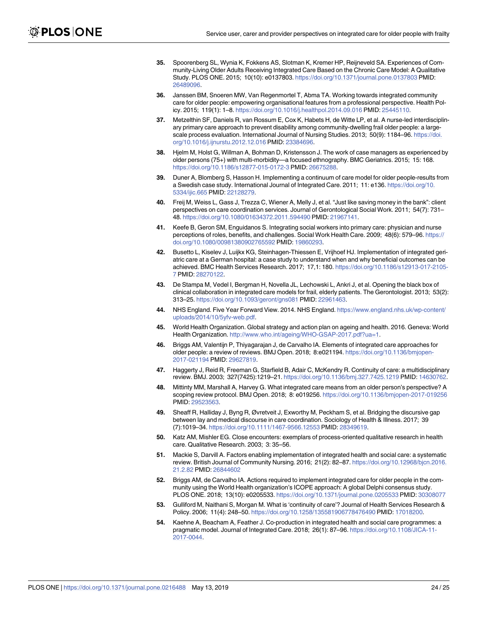- <span id="page-23-0"></span>**[35](#page-3-0).** Spoorenberg SL, Wynia K, Fokkens AS, Slotman K, Kremer HP, Reijneveld SA. Experiences of Community-Living Older Adults Receiving Integrated Care Based on the Chronic Care Model: A Qualitative Study. PLOS ONE. 2015; 10(10): e0137803. <https://doi.org/10.1371/journal.pone.0137803> PMID: [26489096](http://www.ncbi.nlm.nih.gov/pubmed/26489096).
- **[36](#page-3-0).** Janssen BM, Snoeren MW, Van Regenmortel T, Abma TA. Working towards integrated community care for older people: empowering organisational features from a professional perspective. Health Policy. 2015; 119(1): 1–8. <https://doi.org/10.1016/j.healthpol.2014.09.016> PMID: [25445110](http://www.ncbi.nlm.nih.gov/pubmed/25445110).
- **[37](#page-3-0).** Metzelthin SF, Daniels R, van Rossum E, Cox K, Habets H, de Witte LP, et al. A nurse-led interdisciplinary primary care approach to prevent disability among community-dwelling frail older people: a largescale process evaluation. International Journal of Nursing Studies. 2013; 50(9): 1184–96. [https://doi.](https://doi.org/10.1016/j.ijnurstu.2012.12.016) [org/10.1016/j.ijnurstu.2012.12.016](https://doi.org/10.1016/j.ijnurstu.2012.12.016) PMID: [23384696](http://www.ncbi.nlm.nih.gov/pubmed/23384696).
- **[38](#page-3-0).** Hjelm M, Holst G, Willman A, Bohman D, Kristensson J. The work of case managers as experienced by older persons (75+) with multi-morbidity—a focused ethnography. BMC Geriatrics. 2015; 15: 168. <https://doi.org/10.1186/s12877-015-0172-3> PMID: [26675288.](http://www.ncbi.nlm.nih.gov/pubmed/26675288)
- **[39](#page-3-0).** Duner A, Blomberg S, Hasson H. Implementing a continuum of care model for older people-results from a Swedish case study. International Journal of Integrated Care. 2011; 11: e136. [https://doi.org/10.](https://doi.org/10.5334/ijic.665) [5334/ijic.665](https://doi.org/10.5334/ijic.665) PMID: [22128279](http://www.ncbi.nlm.nih.gov/pubmed/22128279).
- **[40](#page-3-0).** Freij M, Weiss L, Gass J, Trezza C, Wiener A, Melly J, et al. "Just like saving money in the bank": client perspectives on care coordination services. Journal of Gerontological Social Work. 2011; 54(7): 731– 48. <https://doi.org/10.1080/01634372.2011.594490> PMID: [21967141.](http://www.ncbi.nlm.nih.gov/pubmed/21967141)
- **[41](#page-3-0).** Keefe B, Geron SM, Enguidanos S. Integrating social workers into primary care: physician and nurse perceptions of roles, benefits, and challenges. Social Work Health Care. 2009; 48(6): 579–96. [https://](https://doi.org/10.1080/00981380902765592) [doi.org/10.1080/00981380902765592](https://doi.org/10.1080/00981380902765592) PMID: [19860293.](http://www.ncbi.nlm.nih.gov/pubmed/19860293)
- **[42](#page-3-0).** Busetto L, Kiselev J, Luijkx KG, Steinhagen-Thiessen E, Vrijhoef HJ. Implementation of integrated geriatric care at a German hospital: a case study to understand when and why beneficial outcomes can be achieved. BMC Health Services Research. 2017; 17,1: 180. [https://doi.org/10.1186/s12913-017-2105-](https://doi.org/10.1186/s12913-017-2105-7) [7](https://doi.org/10.1186/s12913-017-2105-7) PMID: [28270122](http://www.ncbi.nlm.nih.gov/pubmed/28270122).
- **[43](#page-3-0).** De Stampa M, Vedel I, Bergman H, Novella JL, Lechowski L, Ankri J, et al. Opening the black box of clinical collaboration in integrated care models for frail, elderly patients. The Gerontologist. 2013; 53(2): 313–25. <https://doi.org/10.1093/geront/gns081> PMID: [22961463.](http://www.ncbi.nlm.nih.gov/pubmed/22961463)
- **[44](#page-17-0).** NHS England. Five Year Forward View. 2014. NHS England. [https://www.england.nhs.uk/wp-content/](https://www.england.nhs.uk/wp-content/uploads/2014/10/5yfv-web.pdf) [uploads/2014/10/5yfv-web.pdf](https://www.england.nhs.uk/wp-content/uploads/2014/10/5yfv-web.pdf).
- **[45](#page-17-0).** World Health Organization. Global strategy and action plan on ageing and health. 2016. Geneva: World Health Organization. [http://www.who.int/ageing/WHO-GSAP-2017.pdf?ua=1.](http://www.who.int/ageing/WHO-GSAP-2017.pdf?ua=1)
- **[46](#page-18-0).** Briggs AM, Valentijn P, Thiyagarajan J, de Carvalho IA. Elements of integrated care approaches for older people: a review of reviews. BMJ Open. 2018; 8:e021194. [https://doi.org/10.1136/bmjopen-](https://doi.org/10.1136/bmjopen-2017-021194)[2017-021194](https://doi.org/10.1136/bmjopen-2017-021194) PMID: [29627819](http://www.ncbi.nlm.nih.gov/pubmed/29627819).
- **[47](#page-18-0).** Haggerty J, Reid R, Freeman G, Starfield B, Adair C, McKendry R. Continuity of care: a multidisciplinary review. BMJ. 2003; 327(7425):1219–21. <https://doi.org/10.1136/bmj.327.7425.1219> PMID: [14630762.](http://www.ncbi.nlm.nih.gov/pubmed/14630762)
- **[48](#page-18-0).** Mittinty MM, Marshall A, Harvey G. What integrated care means from an older person's perspective? A scoping review protocol. BMJ Open. 2018; 8: e019256. <https://doi.org/10.1136/bmjopen-2017-019256> PMID: [29523563](http://www.ncbi.nlm.nih.gov/pubmed/29523563).
- **[49](#page-18-0).** Sheaff R, Halliday J, Byng R, Øvretveit J, Exworthy M, Peckham S, et al. Bridging the discursive gap between lay and medical discourse in care coordination. Sociology of Health & Illness. 2017; 39 (7):1019–34. <https://doi.org/10.1111/1467-9566.12553> PMID: [28349619](http://www.ncbi.nlm.nih.gov/pubmed/28349619).
- **[50](#page-18-0).** Katz AM, Mishler EG. Close encounters: exemplars of process-oriented qualitative research in health care. Qualitative Research. 2003; 3: 35–56.
- **[51](#page-18-0).** Mackie S, Darvill A. Factors enabling implementation of integrated health and social care: a systematic review. British Journal of Community Nursing. 2016; 21(2): 82–87. [https://doi.org/10.12968/bjcn.2016.](https://doi.org/10.12968/bjcn.2016.21.2.82) [21.2.82](https://doi.org/10.12968/bjcn.2016.21.2.82) PMID: [26844602](http://www.ncbi.nlm.nih.gov/pubmed/26844602)
- **[52](#page-18-0).** Briggs AM, de Carvalho IA. Actions required to implement integrated care for older people in the community using the World Health organization's ICOPE approach: A global Delphi consensus study. PLOS ONE. 2018; 13(10): e0205533. <https://doi.org/10.1371/journal.pone.0205533> PMID: [30308077](http://www.ncbi.nlm.nih.gov/pubmed/30308077)
- **[53](#page-19-0).** Gulliford M, Naithani S, Morgan M. What is 'continuity of care'? Journal of Health Services Research & Policy. 2006; 11(4): 248–50. <https://doi.org/10.1258/135581906778476490> PMID: [17018200](http://www.ncbi.nlm.nih.gov/pubmed/17018200).
- **[54](#page-19-0).** Kaehne A, Beacham A, Feather J. Co-production in integrated health and social care programmes: a pragmatic model. Journal of Integrated Care. 2018; 26(1): 87–96. [https://doi.org/10.1108/JICA-11-](https://doi.org/10.1108/JICA-11-2017-0044) [2017-0044](https://doi.org/10.1108/JICA-11-2017-0044).